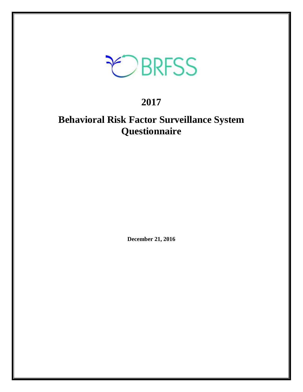

## **2017**

## **Behavioral Risk Factor Surveillance System Questionnaire**

**December 21, 2016**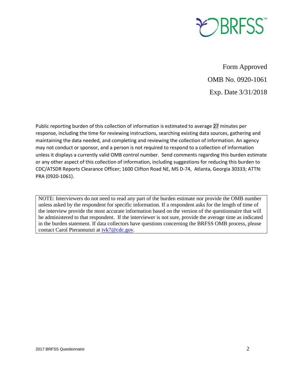

Form Approved OMB No. 0920-1061 Exp. Date 3/31/2018

Public reporting burden of this collection of information is estimated to average 27 minutes per response, including the time for reviewing instructions, searching existing data sources, gathering and maintaining the data needed, and completing and reviewing the collection of information. An agency may not conduct or sponsor, and a person is not required to respond to a collection of information unless it displays a currently valid OMB control number. Send comments regarding this burden estimate or any other aspect of this collection of information, including suggestions for reducing this burden to CDC/ATSDR Reports Clearance Officer; 1600 Clifton Road NE, MS D-74, Atlanta, Georgia 30333; ATTN: PRA (0920-1061).

NOTE: Interviewers do not need to read any part of the burden estimate nor provide the OMB number unless asked by the respondent for specific information. If a respondent asks for the length of time of the interview provide the most accurate information based on the version of the questionnaire that will be administered to that respondent. If the interviewer is not sure, provide the average time as indicated in the burden statement. If data collectors have questions concerning the BRFSS OMB process, please contact Carol Pierannunzi at [ivk7@cdc.gov.](mailto:ivk7@cdc.gov)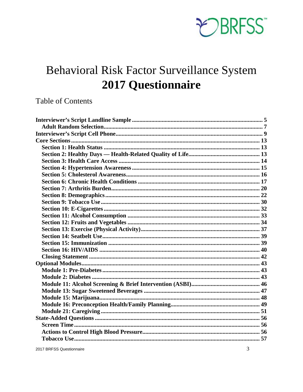

## Behavioral Risk Factor Surveillance System **2017 Questionnaire**

### **Table of Contents**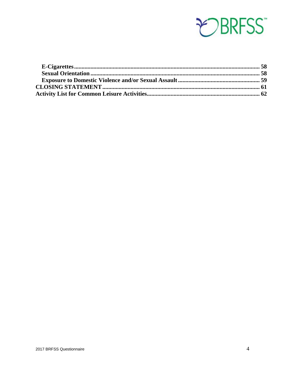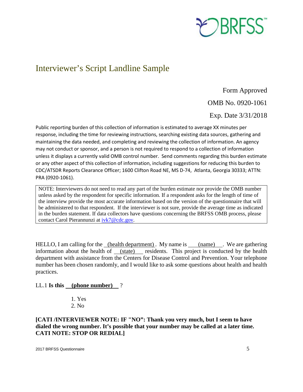

### <span id="page-4-0"></span>Interviewer's Script Landline Sample

Form Approved

OMB No. 0920-1061

Exp. Date 3/31/2018

Public reporting burden of this collection of information is estimated to average XX minutes per response, including the time for reviewing instructions, searching existing data sources, gathering and maintaining the data needed, and completing and reviewing the collection of information. An agency may not conduct or sponsor, and a person is not required to respond to a collection of information unless it displays a currently valid OMB control number. Send comments regarding this burden estimate or any other aspect of this collection of information, including suggestions for reducing this burden to CDC/ATSDR Reports Clearance Officer; 1600 Clifton Road NE, MS D-74, Atlanta, Georgia 30333; ATTN: PRA (0920-1061).

NOTE: Interviewers do not need to read any part of the burden estimate nor provide the OMB number unless asked by the respondent for specific information. If a respondent asks for the length of time of the interview provide the most accurate information based on the version of the questionnaire that will be administered to that respondent. If the interviewer is not sure, provide the average time as indicated in the burden statement. If data collectors have questions concerning the BRFSS OMB process, please contact Carol Pierannunzi at  $ivk7@cdc.gov$ .

HELLO, I am calling for the <u>(health department)</u>. My name is <u>(name)</u> . We are gathering information about the health of (state) residents. This project is conducted by the health department with assistance from the Centers for Disease Control and Prevention. Your telephone number has been chosen randomly, and I would like to ask some questions about health and health practices.

#### LL.1 **Is this (phone number)** ?

1. Yes 2. No

**[CATI /INTERVIEWER NOTE: IF "NO": Thank you very much, but I seem to have dialed the wrong number. It's possible that your number may be called at a later time. CATI NOTE: STOP OR REDIAL]**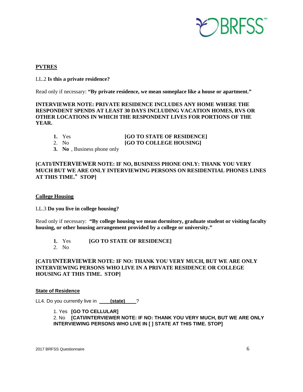

#### **PVTRES**

#### LL.2 **Is this a private residence?**

Read only if necessary: **"By private residence, we mean someplace like a house or apartment."**

**INTERVIEWER NOTE: PRIVATE RESIDENCE INCLUDES ANY HOME WHERE THE RESPONDENT SPENDS AT LEAST 30 DAYS INCLUDING VACATION HOMES, RVS OR OTHER LOCATIONS IN WHICH THE RESPONDENT LIVES FOR PORTIONS OF THE YEAR.** 

| 1. Yes | [GO TO STATE OF RESIDENCE] |
|--------|----------------------------|
| 2. No. | [GO TO COLLEGE HOUSING]    |

**3. No** , Business phone only

#### **[CATI/INTERVIEWER NOTE: IF NO, BUSINESS PHONE ONLY: THANK YOU VERY MUCH BUT WE ARE ONLY INTERVIEWING PERSONS ON RESIDENTIAL PHONES LINES AT THIS TIME.**"**STOP]**

#### **College Housing**

LL.3 **Do you live in college housing?** 

Read only if necessary: **"By college housing we mean dormitory, graduate student or visiting faculty housing, or other housing arrangement provided by a college or university."** 

- **1.** Yes **[GO TO STATE OF RESIDENCE]**
- 2. No

#### **[CATI/INTERVIEWER NOTE: IF NO: THANK YOU VERY MUCH, BUT WE ARE ONLY INTERVIEWING PERSONS WHO LIVE IN A PRIVATE RESIDENCE OR COLLEGE HOUSING AT THIS TIME. STOP]**

#### **State of Residence**

LL4. Do you currently live in **\_\_\_\_\_ (state)** \_\_\_?

1. Yes **[GO TO CELLULAR]**  2. No **[CATI/INTERVIEWER NOTE: IF NO: THANK YOU VERY MUCH, BUT WE ARE ONLY INTERVIEWING PERSONS WHO LIVE IN [ ] STATE AT THIS TIME. STOP]**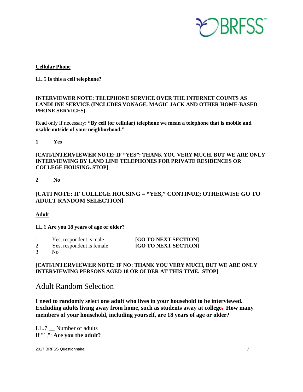

#### **Cellular Phone**

LL.5 **Is this a cell telephone?**

#### **INTERVIEWER NOTE: TELEPHONE SERVICE OVER THE INTERNET COUNTS AS LANDLINE SERVICE (INCLUDES VONAGE, MAGIC JACK AND OTHER HOME-BASED PHONE SERVICES).**

Read only if necessary: **"By cell (or cellular) telephone we mean a telephone that is mobile and usable outside of your neighborhood."**

**1 Yes** 

**[CATI/INTERVIEWER NOTE: IF "YES": THANK YOU VERY MUCH, BUT WE ARE ONLY INTERVIEWING BY LAND LINE TELEPHONES FOR PRIVATE RESIDENCES OR COLLEGE HOUSING. STOP]**

**2 No**

**[CATI NOTE: IF COLLEGE HOUSING = "YES," CONTINUE; OTHERWISE GO TO ADULT RANDOM SELECTION]**

**Adult**

LL.6 **Are you 18 years of age or older?** 

| Yes, respondent is male   | [GO TO NEXT SECTION] |
|---------------------------|----------------------|
| Yes, respondent is female | [GO TO NEXT SECTION] |

3 No

#### **[CATI/INTERVIEWER NOTE: IF NO: THANK YOU VERY MUCH, BUT WE ARE ONLY INTERVIEWING PERSONS AGED 18 OR OLDER AT THIS TIME. STOP]**

<span id="page-6-0"></span>Adult Random Selection

**I need to randomly select one adult who lives in your household to be interviewed. Excluding adults living away from home, such as students away at college, How many members of your household, including yourself, are 18 years of age or older?** 

LL.7 \_\_ Number of adults If "1,": **Are you the adult?**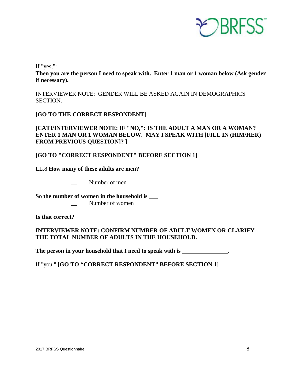

If "yes,":

**Then you are the person I need to speak with. Enter 1 man or 1 woman below (Ask gender if necessary).**

INTERVIEWER NOTE: GENDER WILL BE ASKED AGAIN IN DEMOGRAPHICS SECTION.

**[GO TO THE CORRECT RESPONDENT]** 

**[CATI/INTERVIEWER NOTE: IF "NO,": IS THE ADULT A MAN OR A WOMAN? ENTER 1 MAN OR 1 WOMAN BELOW. MAY I SPEAK WITH [FILL IN (HIM/HER) FROM PREVIOUS QUESTION]? ]** 

**[GO TO "CORRECT RESPONDENT" BEFORE SECTION 1]** 

LL.8 **How many of these adults are men?** 

Number of men

**So the number of women in the household is \_\_\_**

Number of women

**Is that correct?**

**INTERVIEWER NOTE: CONFIRM NUMBER OF ADULT WOMEN OR CLARIFY THE TOTAL NUMBER OF ADULTS IN THE HOUSEHOLD.**

**The person in your household that I need to speak with is .** 

If "you," **[GO TO "CORRECT RESPONDENT" BEFORE SECTION 1]**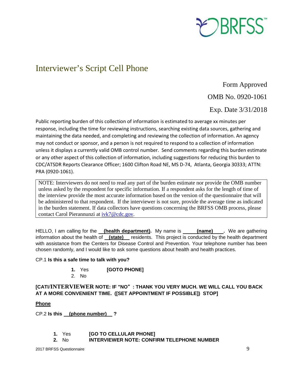

### <span id="page-8-0"></span>Interviewer's Script Cell Phone

Form Approved OMB No. 0920-1061

Exp. Date 3/31/2018

Public reporting burden of this collection of information is estimated to average xx minutes per response, including the time for reviewing instructions, searching existing data sources, gathering and maintaining the data needed, and completing and reviewing the collection of information. An agency may not conduct or sponsor, and a person is not required to respond to a collection of information unless it displays a currently valid OMB control number. Send comments regarding this burden estimate or any other aspect of this collection of information, including suggestions for reducing this burden to CDC/ATSDR Reports Clearance Officer; 1600 Clifton Road NE, MS D-74, Atlanta, Georgia 30333; ATTN: PRA (0920-1061).

NOTE: Interviewers do not need to read any part of the burden estimate nor provide the OMB number unless asked by the respondent for specific information. If a respondent asks for the length of time of the interview provide the most accurate information based on the version of the questionnaire that will be administered to that respondent. If the interviewer is not sure, provide the average time as indicated in the burden statement. If data collectors have questions concerning the BRFSS OMB process, please contact Carol Pierannunzi at [ivk7@cdc.gov.](mailto:ivk7@cdc.gov)

HELLO, I am calling for the **(health department).** My name is **(name)** Ne are gathering information about the health of **(state)** residents. This project is conducted by the health department with assistance from the Centers for Disease Control and Prevention. Your telephone number has been chosen randomly, and I would like to ask some questions about health and health practices.

#### CP.1 **Is this a safe time to talk with you?**

- **1.** Yes **[GOTO PHONE]**
- 2. No

#### **[CATI/INTERVIEWER NOTE: IF "NO**"**: THANK YOU VERY MUCH. WE WILL CALL YOU BACK AT A MORE CONVENIENT TIME. ([SET APPOINTMENT IF POSSIBLE]) STOP]**

#### **Phone**

CP.2 **Is this (phone number) ?** 

- **1.** Yes **[GO TO CELLULAR PHONE]**
- **2.** No **INTERVIEWER NOTE: CONFIRM TELEPHONE NUMBER**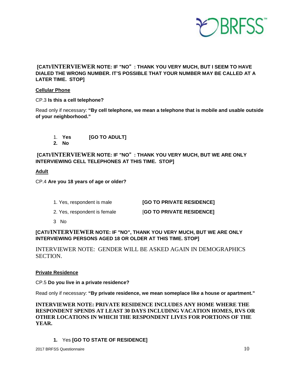

#### **[CATI/INTERVIEWER NOTE: IF "NO**"**: THANK YOU VERY MUCH, BUT I SEEM TO HAVE DIALED THE WRONG NUMBER. IT'S POSSIBLE THAT YOUR NUMBER MAY BE CALLED AT A LATER TIME. STOP]**

#### **Cellular Phone**

CP.3 **Is this a cell telephone?**

Read only if necessary: **"By cell telephone, we mean a telephone that is mobile and usable outside of your neighborhood."** 

- 1. **Yes [GO TO ADULT]**
- **2. No**

 **[CATI/INTERVIEWER NOTE: IF "NO**"**: THANK YOU VERY MUCH, BUT WE ARE ONLY INTERVIEWING CELL TELEPHONES AT THIS TIME. STOP]** 

#### **Adult**

CP.4 **Are you 18 years of age or older?** 

| 1. Yes, respondent is male | [GO TO PRIVATE RESIDENCE] |
|----------------------------|---------------------------|
|----------------------------|---------------------------|

- 2. Yes, respondent is female [**GO TO PRIVATE RESIDENCE]**
- 3 No

**[CATI/INTERVIEWER NOTE: IF "NO", THANK YOU VERY MUCH, BUT WE ARE ONLY INTERVIEWING PERSONS AGED 18 OR OLDER AT THIS TIME. STOP]** 

INTERVIEWER NOTE: GENDER WILL BE ASKED AGAIN IN DEMOGRAPHICS SECTION.

#### **Private Residence**

CP.5 **Do you live in a private residence?**

Read only if necessary: **"By private residence, we mean someplace like a house or apartment."**

**INTERVIEWER NOTE: PRIVATE RESIDENCE INCLUDES ANY HOME WHERE THE RESPONDENT SPENDS AT LEAST 30 DAYS INCLUDING VACATION HOMES, RVS OR OTHER LOCATIONS IN WHICH THE RESPONDENT LIVES FOR PORTIONS OF THE YEAR.** 

**1.** Yes **[GO TO STATE OF RESIDENCE]**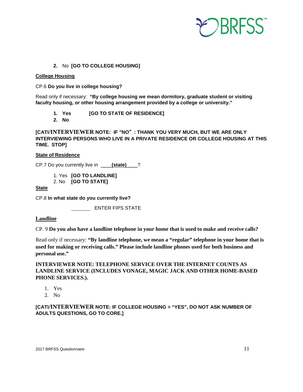

#### **2.** No **[GO TO COLLEGE HOUSING]**

#### **College Housing**

CP.6 **Do you live in college housing?**

Read only if necessary: **"By college housing we mean dormitory, graduate student or visiting faculty housing, or other housing arrangement provided by a college or university."**

- **1. Yes [GO TO STATE OF RESIDENCE]**
- **2. No**

**[CATI/INTERVIEWER NOTE: IF "NO**"**: THANK YOU VERY MUCH, BUT WE ARE ONLY INTERVIEWING PERSONS WHO LIVE IN A PRIVATE RESIDENCE OR COLLEGE HOUSING AT THIS TIME. STOP]** 

#### **State of Residence**

CP.7 Do you currently live in \_\_\_\_**(state)**\_\_\_\_?

1. Yes **[GO TO LANDLINE]**  2. No **[GO TO STATE]** 

#### **State**

CP.8 **In what state do you currently live?**

**ENTER FIPS STATE** 

#### **Landline**

CP. 9 **Do you also have a landline telephone in your home that is used to make and receive calls?** 

Read only if necessary: **"By landline telephone, we mean a "regular" telephone in your home that is used for making or receiving calls." Please include landline phones used for both business and personal use."**

**INTERVIEWER NOTE: TELEPHONE SERVICE OVER THE INTERNET COUNTS AS LANDLINE SERVICE (INCLUDES VONAGE, MAGIC JACK AND OTHER HOME-BASED PHONE SERVICES.).** 

- 1. Yes
- 2. No

#### **[CATI/INTERVIEWER NOTE: IF COLLEGE HOUSING = "YES", DO NOT ASK NUMBER OF ADULTS QUESTIONS, GO TO CORE.]**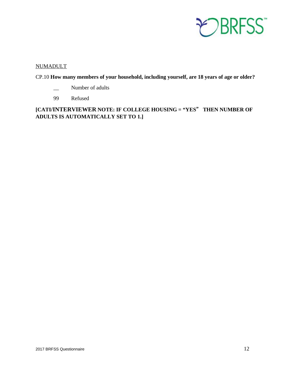

#### NUMADULT

#### CP.10 **How many members of your household, including yourself, are 18 years of age or older?**

- \_\_ Number of adults
- 99 Refused

**[CATI/INTERVIEWER NOTE: IF COLLEGE HOUSING = "YES**" **THEN NUMBER OF ADULTS IS AUTOMATICALLY SET TO 1.]**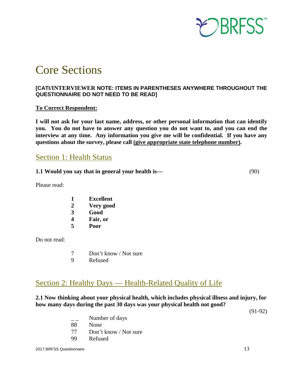

## <span id="page-12-0"></span>Core Sections

#### **[CATI/INTERVIEWER NOTE: ITEMS IN PARENTHESES ANYWHERE THROUGHOUT THE QUESTIONNAIRE DO NOT NEED TO BE READ]**

#### **To Correct Respondent:**

**I will not ask for your last name, address, or other personal information that can identify you. You do not have to answer any question you do not want to, and you can end the interview at any time. Any information you give me will be confidential. If you have any questions about the survey, please call (give appropriate state telephone number).** 

### <span id="page-12-1"></span>Section 1: Health Status

**1.1 Would you say that in general your health is—** (90)

Please read:

- **1 Excellent**
- **2 Very good**
- **3 Good**
- **4 Fair, or**
- **5 Poor**

Do not read:

- 7 Don't know / Not sure
- 9 Refused

### <span id="page-12-2"></span>Section 2: Healthy Days — Health-Related Quality of Life

#### **2.1 Now thinking about your physical health, which includes physical illness and injury, for how many days during the past 30 days was your physical health not good?**

(91-92)

- $\mathsf{L}$  Number of days
- 88 None
- 77 Don't know / Not sure
- 99 Refused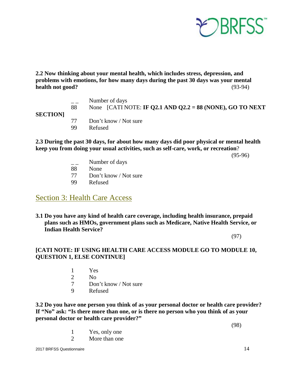

**2.2 Now thinking about your mental health, which includes stress, depression, and problems with emotions, for how many days during the past 30 days was your mental health not good?** (93-94)

| <b>SECTION</b> | 88 | Number of days<br>None [CATI NOTE: IF Q2.1 AND Q2.2 = 88 (NONE), GO TO NEXT |
|----------------|----|-----------------------------------------------------------------------------|
|                | 99 | Don't know / Not sure<br>Refused                                            |

#### **2.3 During the past 30 days, for about how many days did poor physical or mental health keep you from doing your usual activities, such as self-care, work, or recreation**?

(95-96)

- $\mathsf{L}$  Number of days
- 88 None
- 77 Don't know / Not sure
- 99 Refused

### <span id="page-13-0"></span>Section 3: Health Care Access

**3.1 Do you have any kind of health care coverage, including health insurance, prepaid plans such as HMOs, government plans such as Medicare, Native Health Service, or Indian Health Service?** 

(97)

#### **[CATI NOTE: IF USING HEALTH CARE ACCESS MODULE GO TO MODULE 10, QUESTION 1, ELSE CONTINUE]**

- 1 Yes
- 2 No
- 7 Don't know / Not sure
- 9 Refused

**3.2 Do you have one person you think of as your personal doctor or health care provider? If "No" ask: "Is there more than one, or is there no person who you think of as your personal doctor or health care provider?"**

- (98) 1 Yes, only one
- 2 More than one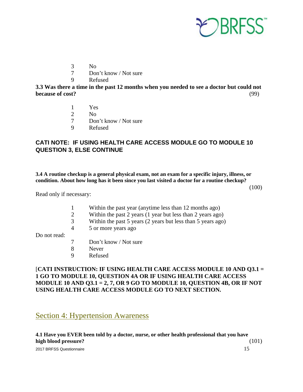

- 3 No
- 7 Don't know / Not sure
- 9 Refused

**3.3 Was there a time in the past 12 months when you needed to see a doctor but could not because of cost?** (99)

- 1 Yes
- 2 No<br>7 Dor
- Don't know / Not sure
- 9 Refused

#### **CATI NOTE: IF USING HEALTH CARE ACCESS MODULE GO TO MODULE 10 QUESTION 3, ELSE CONTINUE**

**3.4 A routine checkup is a general physical exam, not an exam for a specific injury, illness, or condition. About how long has it been since you last visited a doctor for a routine checkup?** 

(100)

Read only if necessary:

1 Within the past year (anytime less than 12 months ago)

- 2 Within the past 2 years (1 year but less than 2 years ago)
- 3 Within the past 5 years (2 years but less than 5 years ago)
- 4 5 or more years ago

Do not read:

- 7 Don't know / Not sure
- 8 Never
- 9 Refused

#### [**CATI INSTRUCTION: IF USING HEALTH CARE ACCESS MODULE 10 AND Q3.1 = 1 GO TO MODULE 10, QUESTION 4A OR IF USING HEALTH CARE ACCESS MODULE 10 AND Q3.1 = 2, 7, OR 9 GO TO MODULE 10, QUESTION 4B, OR IF NOT USING HEALTH CARE ACCESS MODULE GO TO NEXT SECTION.**

### <span id="page-14-0"></span>Section 4: Hypertension Awareness

2017 BRFSS Questionnaire 15 **4.1 Have you EVER been told by a doctor, nurse, or other health professional that you have high blood pressure?** (101)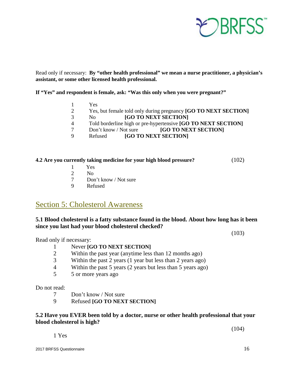

Read only if necessary: **By "other health professional" we mean a nurse practitioner, a physician's assistant, or some other licensed health professional.**

**If "Yes" and respondent is female, ask: "Was this only when you were pregnant?"** 

- 1 Yes<br>2 Yes.
- <sup>2</sup> Yes, but female told only during pregnancy **[GO TO NEXT SECTION]**<br>
<sup>3</sup> No **[GO TO NEXT SECTION]**
- No **[GO TO NEXT SECTION]**
- **1** Told borderline high or pre-hypertensive **[GO TO NEXT SECTION]**<br> **1** Don't know / Not sure **1GO TO NEXT SECTION** 
	- 7 Don't know / Not sure **[GO TO NEXT SECTION]**
- 9 Refused **[GO TO NEXT SECTION]**

#### **4.2 Are you currently taking medicine for your high blood pressure?** (102)

- 1 Yes
- 2 No
- 7 Don't know / Not sure
- 9 Refused

#### <span id="page-15-0"></span>Section 5: Cholesterol Awareness

#### **5.1 Blood cholesterol is a fatty substance found in the blood. About how long has it been since you last had your blood cholesterol checked?**

(103)

Read only if necessary:

- 1 Never **[GO TO NEXT SECTION]**<br>2 Within the past vear (anytime less
- Within the past year (anytime less than 12 months ago)
- 3 Within the past 2 years (1 year but less than 2 years ago)
- 4 Within the past 5 years (2 years but less than 5 years ago)
- 5 5 or more years ago

Do not read:

- 7 Don't know / Not sure
- 9 Refused **[GO TO NEXT SECTION]**

#### **5.2 Have you EVER been told by a doctor, nurse or other health professional that your blood cholesterol is high?**

(104)

1 Yes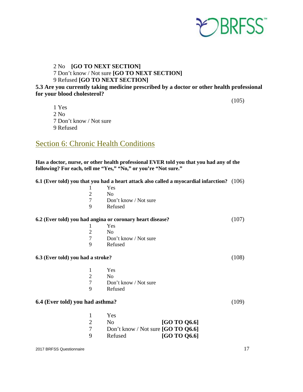

#### 2 No **[GO TO NEXT SECTION]** 7 Don't know / Not sure **[GO TO NEXT SECTION]** 9 Refused **[GO TO NEXT SECTION]**

#### **5.3 Are you currently taking medicine prescribed by a doctor or other health professional for your blood cholesterol?**

 $(105)$ 

1 Yes 2 No 7 Don't know / Not sure 9 Refused

### <span id="page-16-0"></span>Section 6: Chronic Health Conditions

**Has a doctor, nurse, or other health professional EVER told you that you had any of the following? For each, tell me "Yes," "No," or you're "Not sure."** 

#### **6.1 (Ever told) you that you had a heart attack also called a myocardial infarction?** (106)

|                                   |   | <b>Yes</b>                                                |       |
|-----------------------------------|---|-----------------------------------------------------------|-------|
|                                   | 2 | N <sub>0</sub>                                            |       |
|                                   | 7 | Don't know / Not sure                                     |       |
|                                   | 9 | Refused                                                   |       |
|                                   |   | 6.2 (Ever told) you had angina or coronary heart disease? | (107) |
|                                   |   | <b>Yes</b>                                                |       |
|                                   | 2 | N <sub>0</sub>                                            |       |
|                                   | 7 | Don't know / Not sure                                     |       |
|                                   | 9 | Refused                                                   |       |
| 6.3 (Ever told) you had a stroke? |   |                                                           | 08)   |

- 1 Yes
- 2 No
- 7 Don't know / Not sure<br>9 Refused
- **Refused**

#### **6.4 (Ever told) you had asthma?** (109)

|   | Yes                                  |              |
|---|--------------------------------------|--------------|
|   | No.                                  | [GO TO 06.6] |
|   | Don't know / Not sure $[GO TO O6.6]$ |              |
| Q | Refused                              | [GO TO 06.6] |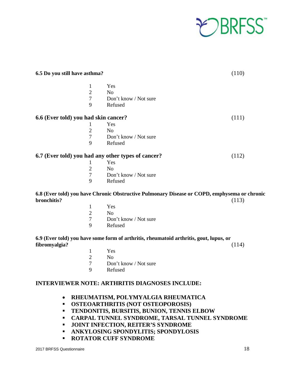

| 6.5 Do you still have asthma?        |                                                                                              | (110) |
|--------------------------------------|----------------------------------------------------------------------------------------------|-------|
| $\mathbf{1}$                         | Yes                                                                                          |       |
| $\overline{c}$                       | N <sub>o</sub>                                                                               |       |
| $\overline{7}$                       | Don't know / Not sure                                                                        |       |
| 9                                    | Refused                                                                                      |       |
| 6.6 (Ever told) you had skin cancer? |                                                                                              | (111) |
| 1                                    | Yes                                                                                          |       |
| $\overline{2}$                       | N <sub>o</sub>                                                                               |       |
| $\overline{7}$                       | Don't know / Not sure                                                                        |       |
| 9                                    | Refused                                                                                      |       |
|                                      | 6.7 (Ever told) you had any other types of cancer?                                           | (112) |
| 1                                    | Yes                                                                                          |       |
| $\sqrt{2}$                           | No                                                                                           |       |
| $\tau$                               | Don't know / Not sure                                                                        |       |
| 9                                    | Refused                                                                                      |       |
| bronchitis?                          | 6.8 (Ever told) you have Chronic Obstructive Pulmonary Disease or COPD, emphysema or chronic | (113) |
| 1                                    | Yes                                                                                          |       |
| $\mathfrak{2}$                       | N <sub>o</sub>                                                                               |       |
| $\boldsymbol{7}$                     | Don't know / Not sure                                                                        |       |
| 9                                    | Refused                                                                                      |       |
| fibromyalgia?                        | 6.9 (Ever told) you have some form of arthritis, rheumatoid arthritis, gout, lupus, or       | (114) |
| 1                                    | Yes                                                                                          |       |
| $\overline{c}$                       | N <sub>o</sub>                                                                               |       |
| $\overline{7}$                       | Don't know / Not sure                                                                        |       |
| 9                                    | Refused                                                                                      |       |
|                                      |                                                                                              |       |

#### **INTERVIEWER NOTE: ARTHRITIS DIAGNOSES INCLUDE:**

- **RHEUMATISM, POLYMYALGIA RHEUMATICA**
- **OSTEOARTHRITIS (NOT OSTEOPOROSIS)**
- **TENDONITIS, BURSITIS, BUNION, TENNIS ELBOW**
- **CARPAL TUNNEL SYNDROME, TARSAL TUNNEL SYNDROME**
- **JOINT INFECTION, REITER'S SYNDROME**
- **ANKYLOSING SPONDYLITIS; SPONDYLOSIS**
- **ROTATOR CUFF SYNDROME**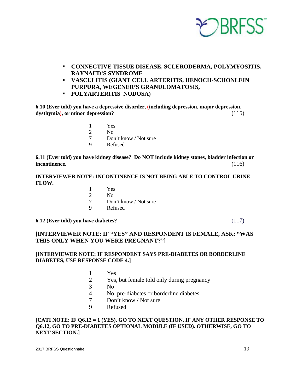

- **CONNECTIVE TISSUE DISEASE, SCLERODERMA, POLYMYOSITIS, RAYNAUD'S SYNDROME**
- **VASCULITIS (GIANT CELL ARTERITIS, HENOCH-SCHONLEIN PURPURA, WEGENER'S GRANULOMATOSIS,**
- **POLYARTERITIS NODOSA)**

**6.10 (Ever told) you have a depressive disorder, (including depression, major depression, dysthymia), or minor depression?** (115)

- 1 Yes
- 2 No
- 7 Don't know / Not sure
- 9 Refused

**6.11 (Ever told) you have kidney disease? Do NOT include kidney stones, bladder infection or incontinence**. (116)

#### **INTERVIEWER NOTE: INCONTINENCE IS NOT BEING ABLE TO CONTROL URINE FLOW.**

1 Yes 2 No 7 Don't know / Not sure 9 Refused

#### **6.12 (Ever told) you have diabetes?** (117)

#### **[INTERVIEWER NOTE: IF "YES" AND RESPONDENT IS FEMALE, ASK: "WAS THIS ONLY WHEN YOU WERE PREGNANT?"]**

#### **[INTERVIEWER NOTE: IF RESPONDENT SAYS PRE-DIABETES OR BORDERLINE DIABETES, USE RESPONSE CODE 4.]**

- 1 Yes
- 2 Yes, but female told only during pregnancy
- 3 No
	- 4 No, pre-diabetes or borderline diabetes
	- 7 Don't know / Not sure
	- 9 Refused

#### **[CATI NOTE: IF Q6.12 = 1 (YES), GO TO NEXT QUESTION. IF ANY OTHER RESPONSE TO Q6.12, GO TO PRE-DIABETES OPTIONAL MODULE (IF USED). OTHERWISE, GO TO NEXT SECTION.]**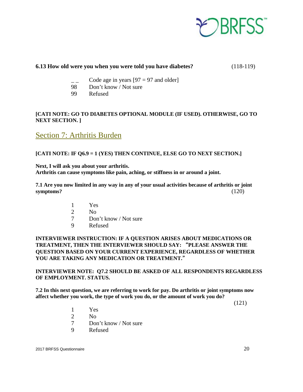

#### **6.13 How old were you when you were told you have diabetes?** (118-119)

- Code age in years  $[97 = 97$  and older]
- 98 Don't know / Not sure
- 99 Refused

#### **[CATI NOTE: GO TO DIABETES OPTIONAL MODULE (IF USED). OTHERWISE, GO TO NEXT SECTION. ]**

### <span id="page-19-0"></span>Section 7: Arthritis Burden

#### **[CATI NOTE: IF Q6.9 = 1 (YES) THEN CONTINUE, ELSE GO TO NEXT SECTION.]**

**Next, I will ask you about your arthritis. Arthritis can cause symptoms like pain, aching, or stiffness in or around a joint.**

**7.1 Are you now limited in any way in any of your usual activities because of arthritis or joint symptoms?** (120)

- 1 Yes
- 2 No
- 7 Don't know / Not sure
- 9 Refused

#### **INTERVIEWER INSTRUCTION: IF A QUESTION ARISES ABOUT MEDICATIONS OR TREATMENT, THEN THE INTERVIEWER SHOULD SAY:** "**PLEASE ANSWER THE QUESTION BASED ON YOUR CURRENT EXPERIENCE, REGARDLESS OF WHETHER YOU ARE TAKING ANY MEDICATION OR TREATMENT.**"

#### **INTERVIEWER NOTE: Q7.2 SHOULD BE ASKED OF ALL RESPONDENTS REGARDLESS OF EMPLOYMENT. STATUS.**

**7.2 In this next question, we are referring to work for pay. Do arthritis or joint symptoms now affect whether you work, the type of work you do, or the amount of work you do?** 

(121)

- 1 Yes
- 2 No
- 7 Don't know / Not sure
- 9 Refused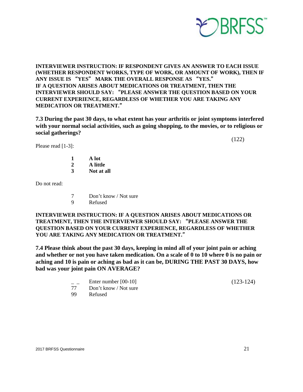

**INTERVIEWER INSTRUCTION: IF RESPONDENT GIVES AN ANSWER TO EACH ISSUE (WHETHER RESPONDENT WORKS, TYPE OF WORK, OR AMOUNT OF WORK), THEN IF ANY ISSUE IS** "**YES**" **MARK THE OVERALL RESPONSE AS** "**YES.**" **IF A QUESTION ARISES ABOUT MEDICATIONS OR TREATMENT, THEN THE INTERVIEWER SHOULD SAY:** "**PLEASE ANSWER THE QUESTION BASED ON YOUR CURRENT EXPERIENCE, REGARDLESS OF WHETHER YOU ARE TAKING ANY MEDICATION OR TREATMENT.**"

**7.3 During the past 30 days, to what extent has your arthritis or joint symptoms interfered with your normal social activities, such as going shopping, to the movies, or to religious or social gatherings?** 

Please read [1-3]:

(122)

- **1 A lot 2 A little**
- **3 Not at all**

Do not read:

- 7 Don't know / Not sure
- 9 Refused

**INTERVIEWER INSTRUCTION: IF A QUESTION ARISES ABOUT MEDICATIONS OR TREATMENT, THEN THE INTERVIEWER SHOULD SAY:** "**PLEASE ANSWER THE QUESTION BASED ON YOUR CURRENT EXPERIENCE, REGARDLESS OF WHETHER YOU ARE TAKING ANY MEDICATION OR TREATMENT.**"

**7.4 Please think about the past 30 days, keeping in mind all of your joint pain or aching and whether or not you have taken medication. On a scale of 0 to 10 where 0 is no pain or aching and 10 is pain or aching as bad as it can be, DURING THE PAST 30 DAYS, how bad was your joint pain ON AVERAGE?** 

Enter number [00-10] (123-124)

- 77 Don't know / Not sure
- 99 Refused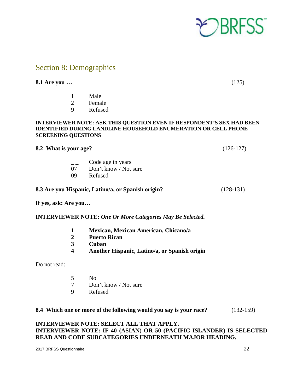

### <span id="page-21-0"></span>Section 8: Demographics

**8.1 Are you …** (125)

- 1 Male
- 2 Female 9 Refused

#### **INTERVIEWER NOTE: ASK THIS QUESTION EVEN IF RESPONDENT'S SEX HAD BEEN IDENTIFIED DURING LANDLINE HOUSEHOLD ENUMERATION OR CELL PHONE SCREENING QUESTIONS**

| 8.2 What is your age? |  |  |
|-----------------------|--|--|
|                       |  |  |

**8.2 What is your age?** (126-127)

- \_ \_ Code age in years
- 07 Don't know / Not sure
- 09 Refused

#### **8.3 Are you Hispanic, Latino/a, or Spanish origin?** (128-131)

**If yes, ask: Are you…**

#### **INTERVIEWER NOTE:** *One Or More Categories May Be Selected.*

- **1 Mexican, Mexican American, Chicano/a**
- **2 Puerto Rican**
- **3 Cuban**
- **4 Another Hispanic, Latino/a, or Spanish origin**

Do not read:

- 5 No
- 7 Don't know / Not sure
- 9 Refused

#### **8.4 Which one or more of the following would you say is your race?** (132-159)

#### **INTERVIEWER NOTE: SELECT ALL THAT APPLY. INTERVIEWER NOTE: IF 40 (ASIAN) OR 50 (PACIFIC ISLANDER) IS SELECTED READ AND CODE SUBCATEGORIES UNDERNEATH MAJOR HEADING.**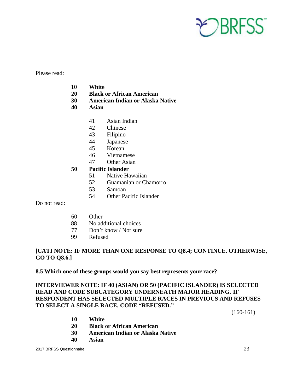

Please read:

- **10 White**
- **20 Black or African American**
- **30 American Indian or Alaska Native**
- **40 Asian**
	- 41 Asian Indian
	- 42 Chinese
	- 43 Filipino
	- 44 Japanese
	- 45 Korean
	- 46 Vietnamese
	- 47 Other Asian

#### **50 Pacific Islander**

- 51 Native Hawaiian
- 52 Guamanian or Chamorro
- 53 Samoan
- 54 Other Pacific Islander

Do not read:

- 60 Other
- 88 No additional choices
- 77 Don't know / Not sure
- 99 Refused

#### **[CATI NOTE: IF MORE THAN ONE RESPONSE TO Q8.4; CONTINUE. OTHERWISE, GO TO Q8.6.]**

**8.5 Which one of these groups would you say best represents your race?**

#### **INTERVIEWER NOTE: IF 40 (ASIAN) OR 50 (PACIFIC ISLANDER) IS SELECTED READ AND CODE SUBCATEGORY UNDERNEATH MAJOR HEADING. IF RESPONDENT HAS SELECTED MULTIPLE RACES IN PREVIOUS AND REFUSES TO SELECT A SINGLE RACE, CODE "REFUSED."**

(160-161)

- **10 White**
- **20 Black or African American**
- **30 American Indian or Alaska Native**
- **40 Asian**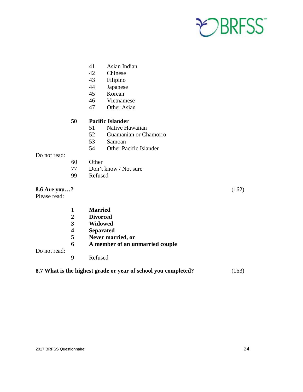

- 41 Asian Indian
- 42 Chinese
- 43 Filipino
- 44 Japanese
- 45 Korean
- 46 Vietnamese
- 47 Other Asian

#### **50 Pacific Islander**

- 51 Native Hawaiian
- 52 Guamanian or Chamorro
- 53 Samoan
- 54 Other Pacific Islander

#### Do not read:

- 60 Other
- 77 Don't know / Not sure
- 99 Refused

#### **8.6 Are you…?** (162)

Please read:

Do not read:

1 **Married 2 Divorced 3 Widowed 4 Separated 5 Never married, or 6 A member of an unmarried couple** 9 Refused

#### **8.7 What is the highest grade or year of school you completed?** (163)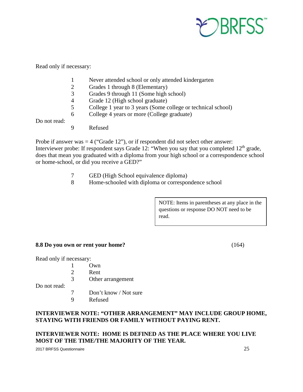

Read only if necessary:

- 1 Never attended school or only attended kindergarten
- 2 Grades 1 through 8 (Elementary)<br>3 Grades 9 through 11 (Some high s
- Grades 9 through 11 (Some high school)
- 4 Grade 12 (High school graduate)
- 5 College 1 year to 3 years (Some college or technical school)
- 6 College 4 years or more (College graduate)

Do not read:

9 Refused

Probe if answer was  $=$  4 ("Grade 12"), or if respondent did not select other answer: Interviewer probe: If respondent says Grade 12: "When you say that you completed 12<sup>th</sup> grade, does that mean you graduated with a diploma from your high school or a correspondence school or home-school, or did you receive a GED?"

- 7 GED (High School equivalence diploma)
- 8 Home-schooled with diploma or correspondence school

NOTE: Items in parentheses at any place in the questions or response DO NOT need to be read.

#### **8.8 Do you own or rent your home?** (164)

Read only if necessary:

- 1 Own
- 2 Rent
- 3 Other arrangement

Do not read:

- 7 Don't know / Not sure
- 9 Refused

#### **INTERVIEWER NOTE: "OTHER ARRANGEMENT" MAY INCLUDE GROUP HOME, STAYING WITH FRIENDS OR FAMILY WITHOUT PAYING RENT.**

#### **INTERVIEWER NOTE: HOME IS DEFINED AS THE PLACE WHERE YOU LIVE MOST OF THE TIME/THE MAJORITY OF THE YEAR.**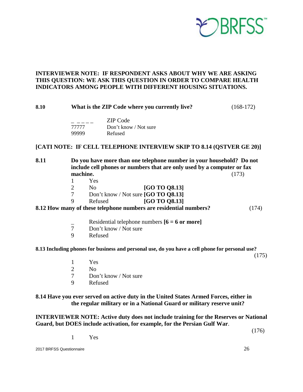

#### **INTERVIEWER NOTE: IF RESPONDENT ASKS ABOUT WHY WE ARE ASKING THIS QUESTION: WE ASK THIS QUESTION IN ORDER TO COMPARE HEALTH INDICATORS AMONG PEOPLE WITH DIFFERENT HOUSING SITUATIONS.**

| 8.10 |                |                                     | What is the ZIP Code where you currently live?                                                                                                 | $(168-172)$ |
|------|----------------|-------------------------------------|------------------------------------------------------------------------------------------------------------------------------------------------|-------------|
|      | 99999          | <b>ZIP</b> Code<br>77777<br>Refused | Don't know / Not sure                                                                                                                          |             |
|      |                |                                     | [CATI NOTE: IF CELL TELEPHONE INTERVIEW SKIP TO 8.14 (QSTVER GE 20)]                                                                           |             |
| 8.11 | machine.       |                                     | Do you have more than one telephone number in your household? Do not<br>include cell phones or numbers that are only used by a computer or fax | (173)       |
|      | 1              | Yes                                 |                                                                                                                                                |             |
|      | $\overline{2}$ | N <sub>0</sub>                      | [GO TO Q8.13]                                                                                                                                  |             |
|      | $\overline{7}$ |                                     | Don't know / Not sure [GO TO Q8.13]                                                                                                            |             |
|      | 9              | Refused                             | [GO TO Q8.13]                                                                                                                                  |             |
|      |                |                                     | 8.12 How many of these telephone numbers are residential numbers?                                                                              | (174)       |
|      |                |                                     | Residential telephone numbers $[6 = 6$ or more]                                                                                                |             |
|      | $\tau$         | Don't know / Not sure               |                                                                                                                                                |             |
|      | 9              | Refused                             |                                                                                                                                                |             |
|      |                |                                     | 8.13 Including phones for business and personal use, do you have a cell phone for personal use?                                                | (175)       |
|      | 1              | Yes                                 |                                                                                                                                                |             |
|      | $\overline{2}$ | N <sub>o</sub>                      |                                                                                                                                                |             |
|      | 7              | Don't know / Not sure               |                                                                                                                                                |             |

9 Refused

#### **8.14 Have you ever served on active duty in the United States Armed Forces, either in the regular military or in a National Guard or military reserve unit?**

**INTERVIEWER NOTE: Active duty does not include training for the Reserves or National Guard, but DOES include activation, for example, for the Persian Gulf War**.

(176)

1 Yes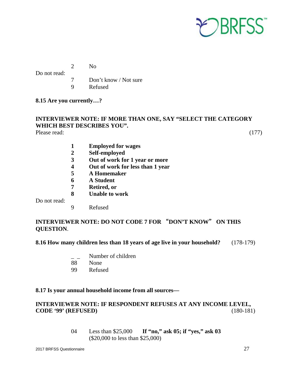

2 No

Do not read:

- 7 Don't know / Not sure
- 9 Refused

**8.15 Are you currently…?**

### **INTERVIEWER NOTE: IF MORE THAN ONE, SAY "SELECT THE CATEGORY WHICH BEST DESCRIBES YOU".**

Please read: (177)

- **1 Employed for wages**
- **2 Self-employed**
- **3 Out of work for 1 year or more**
- **4 Out of work for less than 1 year**
- **5 A Homemaker**
- **6 A Student**
- **7 Retired, or**
- **8 Unable to work**

Do not read:

9 Refused

#### **INTERVIEWER NOTE: DO NOT CODE 7 FOR** "**DON'T KNOW**" **ON THIS QUESTION**.

#### **8.16 How many children less than 18 years of age live in your household?** (178-179)

- Number of children
- 88 None
- 99 Refused

#### **8.17 Is your annual household income from all sources—**

#### **INTERVIEWER NOTE: IF RESPONDENT REFUSES AT ANY INCOME LEVEL, CODE '99' (REFUSED)** (180-181)

04 Less than \$25,000 **If "no," ask 05; if "yes," ask 03** (\$20,000 to less than \$25,000)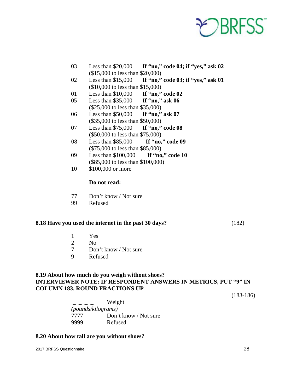

- 03 Less than \$20,000 **If "no," code 04; if "yes," ask 02** (\$15,000 to less than \$20,000)
- 02 Less than \$15,000 **If "no," code 03; if "yes," ask 01** (\$10,000 to less than \$15,000)
- 01 Less than \$10,000 **If "no," code 02**
- 05 Less than \$35,000 **If "no," ask 06** (\$25,000 to less than \$35,000)
- 06 Less than \$50,000 **If "no," ask 07** (\$35,000 to less than \$50,000)
- 07 Less than \$75,000 **If "no," code 08** (\$50,000 to less than \$75,000)
- 08 Less than \$85,000 **If "no," code 09** (\$75,000 to less than \$85,000)
- 09 Less than \$100,000 **If "no," code 10** (\$85,000 to less than \$100,000)
- 10 \$100,000 or more

- 77 Don't know / Not sure
- 99 Refused

#### **8.18 Have you used the internet in the past 30 days?** (182)

- 1 Yes
- 2 No
- 7 Don't know / Not sure
- 9 Refused

#### **8.19 About how much do you weigh without shoes? INTERVIEWER NOTE: IF RESPONDENT ANSWERS IN METRICS, PUT "9" IN COLUMN 183. ROUND FRACTIONS UP**

(183-186)

 **\_ \_ \_ \_** Weight  *(pounds/kilograms)* 7777 Don't know / Not sure 9999 Refused

#### **8.20 About how tall are you without shoes?**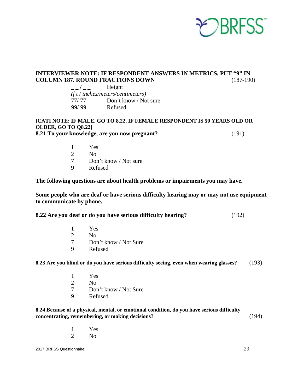

#### **INTERVIEWER NOTE: IF RESPONDENT ANSWERS IN METRICS, PUT "9" IN COLUMN 187. ROUND FRACTIONS DOWN** (187-190)

| $\overline{1}$ | Height                            |
|----------------|-----------------------------------|
|                | (f t / inches/meters/centimeters) |
| 77/77          | Don't know / Not sure             |
| 99/99          | Refused                           |

#### **[CATI NOTE: IF MALE, GO TO 8.22, IF FEMALE RESPONDENT IS 50 YEARS OLD OR OLDER, GO TO Q8.22] 8.21 To your knowledge, are you now pregnant?** (191)

- 1 Yes 2 No<br>7 Dor Don't know / Not sure
- 9 Refused

**The following questions are about health problems or impairments you may have.** 

**Some people who are deaf or have serious difficulty hearing may or may not use equipment to communicate by phone.**

| 8.22 Are you deaf or do you have serious difficulty hearing? | (192) |
|--------------------------------------------------------------|-------|
|--------------------------------------------------------------|-------|

|   | Yes                   |
|---|-----------------------|
|   | N <sub>0</sub>        |
|   | Don't know / Not Sure |
| Q | Refused               |

**8.23 Are you blind or do you have serious difficulty seeing, even when wearing glasses?** (193)

- 1 Yes
- 2 No
- 7 Don't know / Not Sure
- 9 Refused

**8.24 Because of a physical, mental, or emotional condition, do you have serious difficulty concentrating, remembering, or making decisions?** (194)

- 1 Yes
- 2 No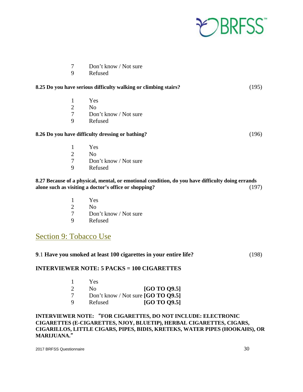

| -7 | Don't know / Not sure |
|----|-----------------------|
|----|-----------------------|

9 Refused

| 8.25 Do you have serious difficulty walking or climbing stairs? |                                                                                                  | (195) |
|-----------------------------------------------------------------|--------------------------------------------------------------------------------------------------|-------|
| 1                                                               | Yes                                                                                              |       |
| $\overline{2}$                                                  | N <sub>0</sub>                                                                                   |       |
| 7                                                               | Don't know / Not sure                                                                            |       |
| 9                                                               | Refused                                                                                          |       |
|                                                                 | 8.26 Do you have difficulty dressing or bathing?                                                 | (196) |
| 1                                                               | Yes                                                                                              |       |
| $\overline{2}$                                                  | N <sub>0</sub>                                                                                   |       |
| 7                                                               | Don't know / Not sure                                                                            |       |
| 9                                                               | Refused                                                                                          |       |
|                                                                 | 8.27 Because of a physical, mental, or emotional condition, do you have difficulty doing errands |       |

#### **8.27 Because of a physical, mental, or emotional condition, do you have difficulty doing errands alone such as visiting a doctor's office or shopping?** (197)

- 1 Yes
- 2 No
- 7 Don't know / Not sure<br>9 Refused
- **Refused**

### <span id="page-29-0"></span>Section 9: Tobacco Use

| 9.1 Have you smoked at least 100 cigarettes in your entire life? | (198) |
|------------------------------------------------------------------|-------|
|                                                                  |       |

#### **INTERVIEWER NOTE: 5 PACKS = 100 CIGARETTES**

|                             | Yes                                  |                     |
|-----------------------------|--------------------------------------|---------------------|
| $\mathcal{D}_{\mathcal{L}}$ | No.                                  | <b>[GO TO 09.5]</b> |
| 7                           | Don't know / Not sure $[GO TO O9.5]$ |                     |
| Q                           | Refused                              | <b>[GO TO 09.5]</b> |

#### **INTERVIEWER NOTE:** "**FOR CIGARETTES, DO NOT INCLUDE: ELECTRONIC CIGARETTES (E-CIGARETTES, NJOY, BLUETIP), HERBAL CIGARETTES, CIGARS, CIGARILLOS, LITTLE CIGARS, PIPES, BIDIS, KRETEKS, WATER PIPES (HOOKAHS), OR MARIJUANA.**"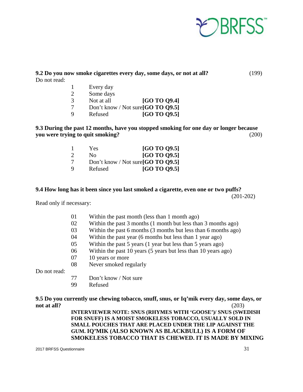

#### **9.2 Do you now smoke cigarettes every day, some days, or not at all?** (199) Do not read:

| 1 | Every day  |                                    |
|---|------------|------------------------------------|
| 2 | Some days  |                                    |
| 3 | Not at all | <b>[GO TO 09.4]</b>                |
| 7 |            | Don't know / Not sure [GO TO 09.5] |
| q | Refused    | [GO TO Q9.5]                       |

**9.3 During the past 12 months, have you stopped smoking for one day or longer because you were trying to quit smoking?** (200)

|               | Yes     | <b>[GO TO 09.5]</b>                  |
|---------------|---------|--------------------------------------|
| $\mathcal{D}$ | Nο      | <b>[GO TO 09.5]</b>                  |
| 7             |         | Don't know / Not sure $[GO TO Q9.5]$ |
| Q             | Refused | <b>[GO TO 09.5]</b>                  |

#### **9.4 How long has it been since you last smoked a cigarette, even one or two puffs?**

(201-202)

Read only if necessary:

- 01 Within the past month (less than 1 month ago)
- 02 Within the past 3 months (1 month but less than 3 months ago)
- 03 Within the past 6 months (3 months but less than 6 months ago)
- 04 Within the past year (6 months but less than 1 year ago)
- 05 Within the past 5 years (1 year but less than 5 years ago)
- 06 Within the past 10 years (5 years but less than 10 years ago)
- 07 10 years or more
- 08 Never smoked regularly

Do not read:

- 77 Don't know / Not sure
- 99 Refused

**9.5 Do you currently use chewing tobacco, snuff, snus, or Iq'mik every day, some days, or not at all?** (203) **INTERVIEWER NOTE: SNUS (RHYMES WITH 'GOOSE')/ SNUS (SWEDISH FOR SNUFF) IS A MOIST SMOKELESS TOBACCO, USUALLY SOLD IN SMALL POUCHES THAT ARE PLACED UNDER THE LIP AGAINST THE GUM. IQ'MIK (ALSO KNOWN AS BLACKBULL) IS A FORM OF SMOKELESS TOBACCO THAT IS CHEWED. IT IS MADE BY MIXING**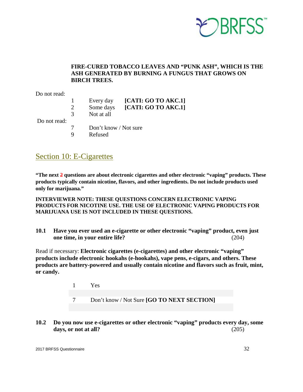

#### **FIRE-CURED TOBACCO LEAVES AND "PUNK ASH", WHICH IS THE ASH GENERATED BY BURNING A FUNGUS THAT GROWS ON BIRCH TREES.**

Do not read:

- 1 Every day **[CATI: GO TO AKC.1]**
- 2 Some days **[CATI: GO TO AKC.1]**
- 3 Not at all

Do not read:

- 7 Don't know / Not sure
- 9 Refused

### <span id="page-31-0"></span>Section 10: E-Cigarettes

**"The next 2 questions are about electronic cigarettes and other electronic "vaping" products. These products typically contain nicotine, flavors, and other ingredients. Do not include products used only for marijuana."**

**INTERVIEWER NOTE: THESE QUESTIONS CONCERN ELECTRONIC VAPING PRODUCTS FOR NICOTINE USE. THE USE OF ELECTRONIC VAPING PRODUCTS FOR MARIJUANA USE IS NOT INCLUDED IN THESE QUESTIONS.** 

**10.1 Have you ever used an e-cigarette or other electronic "vaping" product, even just one time, in your entire life?** (204)

Read if necessary: **Electronic cigarettes (e-cigarettes) and other electronic "vaping" products include electronic hookahs (e-hookahs), vape pens, e-cigars, and others. These products are battery-powered and usually contain nicotine and flavors such as fruit, mint, or candy.** 

> 1 Yes 7 Don't know / Not Sure **[GO TO NEXT SECTION]**

**10.2 Do you now use e-cigarettes or other electronic "vaping" products every day, some days, or not at all?** (205)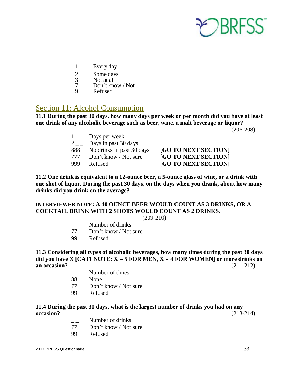

- 1 Every day
- 
- 2 Some days<br>3 Not at all
- 3 Not at all<br>7 Don't kno 7 Don't know / Not<br>9 Refused
- Refused

### <span id="page-32-0"></span>Section 11: Alcohol Consumption

**11.1 During the past 30 days, how many days per week or per month did you have at least one drink of any alcoholic beverage such as beer, wine, a malt beverage or liquor?** 

(206-208)

|                             | Days per week             |
|-----------------------------|---------------------------|
| $\mathcal{D}_{\mathcal{L}}$ | Days in past 30 days      |
| 888                         | No drinks in past 30 days |
| 777                         | Don't know / Not sure     |
|                             |                           |

**[GO TO NEXT SECTION]** [GO TO NEXT SECTION] 999 Refused **[GO TO NEXT SECTION]**

**11.2 One drink is equivalent to a 12-ounce beer, a 5-ounce glass of wine, or a drink with one shot of liquor. During the past 30 days, on the days when you drank, about how many drinks did you drink on the average?**

### **INTERVIEWER NOTE: A 40 OUNCE BEER WOULD COUNT AS 3 DRINKS, OR A COCKTAIL DRINK WITH 2 SHOTS WOULD COUNT AS 2 DRINKS.**

(209-210)

- Number of drinks
- 77 Don't know / Not sure
- 99 Refused

**11.3 Considering all types of alcoholic beverages, how many times during the past 30 days**  did you have X [CATI NOTE:  $X = 5$  FOR MEN,  $X = 4$  FOR WOMEN] or more drinks on **an occasion?** (211-212)

- Number of times
- 88 None
- 77 Don't know / Not sure
- 99 Refused

#### **11.4 During the past 30 days, what is the largest number of drinks you had on any occasion?** (213-214)

- $\frac{1}{77}$  Number of drinks<br>77 Don't know / Not
- Don't know / Not sure
- 99 Refused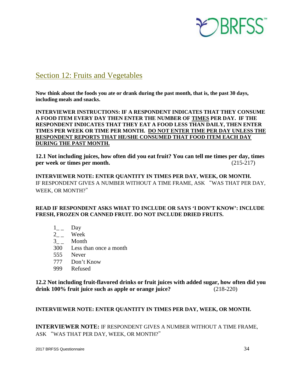

### <span id="page-33-0"></span>Section 12: Fruits and Vegetables

**Now think about the foods you ate or drank during the past month, that is, the past 30 days, including meals and snacks.** 

**INTERVIEWER INSTRUCTIONS: IF A RESPONDENT INDICATES THAT THEY CONSUME A FOOD ITEM EVERY DAY THEN ENTER THE NUMBER OF TIMES PER DAY. IF THE RESPONDENT INDICATES THAT THEY EAT A FOOD LESS THAN DAILY, THEN ENTER TIMES PER WEEK OR TIME PER MONTH. DO NOT ENTER TIME PER DAY UNLESS THE RESPONDENT REPORTS THAT HE/SHE CONSUMED THAT FOOD ITEM EACH DAY DURING THE PAST MONTH.** 

**12.1 Not including juices, how often did you eat fruit? You can tell me times per day, times per week or times per month.**  $(215-217)$ 

**INTERVIEWER NOTE: ENTER QUANTITY IN TIMES PER DAY, WEEK, OR MONTH.**  IF RESPONDENT GIVES A NUMBER WITHOUT A TIME FRAME, ASK "WAS THAT PER DAY, WEEK, OR MONTH?"

#### **READ IF RESPONDENT ASKS WHAT TO INCLUDE OR SAYS 'I DON'T KNOW': INCLUDE FRESH, FROZEN OR CANNED FRUIT. DO NOT INCLUDE DRIED FRUITS.**

- $1_{--}$  Day
- 2<sub>\_\_</sub> Week
- 3<sub>\_\_</sub> Month
- 300 Less than once a month
- 555 Never
- 777 Don't Know
- 999 Refused

**12.2 Not including fruit-flavored drinks or fruit juices with added sugar, how often did you drink 100% fruit juice such as apple or orange juice?** (218-220)

#### **INTERVIEWER NOTE: ENTER QUANTITY IN TIMES PER DAY, WEEK, OR MONTH.**

**INTERVIEWER NOTE:** IF RESPONDENT GIVES A NUMBER WITHOUT A TIME FRAME, ASK "WAS THAT PER DAY, WEEK, OR MONTH?"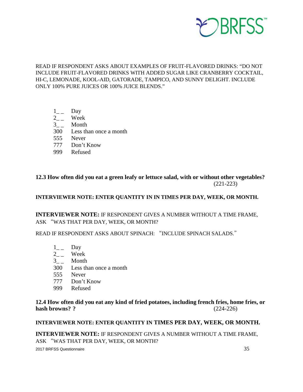

READ IF RESPONDENT ASKS ABOUT EXAMPLES OF FRUIT-FLAVORED DRINKS: "DO NOT INCLUDE FRUIT-FLAVORED DRINKS WITH ADDED SUGAR LIKE CRANBERRY COCKTAIL, HI-C, LEMONADE, KOOL-AID, GATORADE, TAMPICO, AND SUNNY DELIGHT. INCLUDE ONLY 100% PURE JUICES OR 100% JUICE BLENDS."

- $1_{--}$  Day
- $2_{-}$  Week
- $3_{-}$  Month
- 300 Less than once a month
- 555 Never
- 777 Don't Know
- 999 Refused

**12.3 How often did you eat a green leafy or lettuce salad, with or without other vegetables?**  (221-223)

**INTERVIEWER NOTE: ENTER QUANTITY IN IN TIMES PER DAY, WEEK, OR MONTH.**

**INTERVIEWER NOTE:** IF RESPONDENT GIVES A NUMBER WITHOUT A TIME FRAME, ASK "WAS THAT PER DAY, WEEK, OR MONTH?

READ IF RESPONDENT ASKS ABOUT SPINACH: "INCLUDE SPINACH SALADS."

- $1_{--}$  Day
- $2_{-}$  Week
- $3_{-}$  Month
- 300 Less than once a month
- 555 Never
- 777 Don't Know
- 999 Refused

**12.4 How often did you eat any kind of fried potatoes, including french fries, home fries, or hash browns? ?** (224-226)

#### **INTERVIEWER NOTE: ENTER QUANTITY IN TIMES PER DAY, WEEK, OR MONTH.**

**INTERVIEWER NOTE:** IF RESPONDENT GIVES A NUMBER WITHOUT A TIME FRAME, ASK "WAS THAT PER DAY, WEEK, OR MONTH?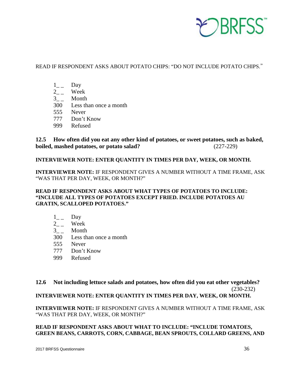

READ IF RESPONDENT ASKS ABOUT POTATO CHIPS: "DO NOT INCLUDE POTATO CHIPS."

- $1_{--}$  Day
- $2_{-}$  Week
- $3_{--}$  Month
- 300 Less than once a month
- 555 Never
- 777 Don't Know
- 999 Refused

**12.5 How often did you eat any other kind of potatoes, or sweet potatoes, such as baked, boiled, mashed potatoes, or potato salad?** (227-229)

#### **INTERVIEWER NOTE: ENTER QUANTITY IN TIMES PER DAY, WEEK, OR MONTH.**

**INTERVIEWER NOTE:** IF RESPONDENT GIVES A NUMBER WITHOUT A TIME FRAME, ASK "WAS THAT PER DAY, WEEK, OR MONTH?"

#### **READ IF RESPONDENT ASKS ABOUT WHAT TYPES OF POTATOES TO INCLUDE: "INCLUDE ALL TYPES OF POTATOES EXCEPT FRIED. INCLUDE POTATOES AU GRATIN, SCALLOPED POTATOES."**

- $1_{--}$  Day
- $2_{-}$  Week
- $3_{-}$  Month
- 300 Less than once a month
- 555 Never
- 777 Don't Know
- 999 Refused

### **12.6 Not including lettuce salads and potatoes, how often did you eat other vegetables?**  (230-232)

#### **INTERVIEWER NOTE: ENTER QUANTITY IN TIMES PER DAY, WEEK, OR MONTH.**

**INTERVIEWER NOTE:** IF RESPONDENT GIVES A NUMBER WITHOUT A TIME FRAME, ASK "WAS THAT PER DAY, WEEK, OR MONTH?"

#### **READ IF RESPONDENT ASKS ABOUT WHAT TO INCLUDE: "INCLUDE TOMATOES, GREEN BEANS, CARROTS, CORN, CABBAGE, BEAN SPROUTS, COLLARD GREENS, AND**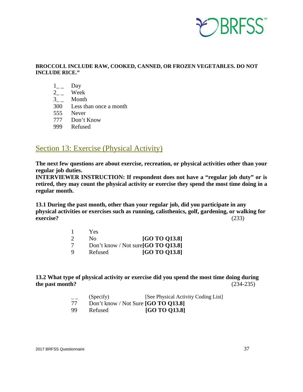

#### **BROCCOLI. INCLUDE RAW, COOKED, CANNED, OR FROZEN VEGETABLES. DO NOT INCLUDE RICE."**

- $1_{--}$  Day
- $2_{--}$  Week
- $3_{-}$  Month
- 300 Less than once a month
- 555 Never
- 777 Don't Know
- 999 Refused

### <span id="page-36-0"></span>Section 13: Exercise (Physical Activity)

**The next few questions are about exercise, recreation, or physical activities other than your regular job duties.**

**INTERVIEWER INSTRUCTION: If respondent does not have a "regular job duty" or is retired, they may count the physical activity or exercise they spend the most time doing in a regular month.**

**13.1 During the past month, other than your regular job, did you participate in any physical activities or exercises such as running, calisthenics, golf, gardening, or walking for exercise?** (233)

|          | Yes.    |                                     |
|----------|---------|-------------------------------------|
| $\gamma$ | Nο      | <b>[GO TO 013.8]</b>                |
| -7       |         | Don't know / Not sure [GO TO Q13.8] |
| 9        | Refused | [GO TO 013.8]                       |

#### **13.2 What type of physical activity or exercise did you spend the most time doing during the past month?** (234-235)

| $- -$ | (Specify)                             | [See Physical Activity Coding List] |
|-------|---------------------------------------|-------------------------------------|
|       | Don't know / Not Sure $[GO TO O13.8]$ |                                     |
| QQ.   | Refused                               | <b>[GO TO 013.8]</b>                |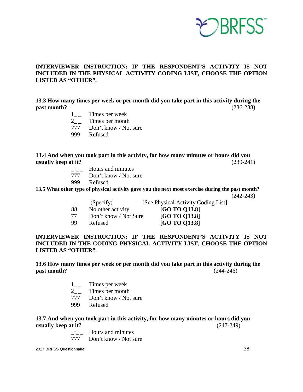

#### **INTERVIEWER INSTRUCTION: IF THE RESPONDENT'S ACTIVITY IS NOT INCLUDED IN THE PHYSICAL ACTIVITY CODING LIST, CHOOSE THE OPTION LISTED AS "OTHER".**

**13.3 How many times per week or per month did you take part in this activity during the past month?** (236-238)

- $1_{-}$  Times per week
- 2\_ \_ Times per month
- 777 Don't know / Not sure
- 999 Refused

#### **13.4 And when you took part in this activity, for how many minutes or hours did you usually keep at it?** (239-241)

- $\frac{1}{2}$  Hours and minutes
- 777 Don't know / Not sure
- 999 Refused

**13.5 What other type of physical activity gave you the next most exercise during the past month?**

(242-243)

- (Specify) [See Physical Activity Coding List]
- 88 No other activity **[GO TO Q13.8]**
- 77 Don't know / Not Sure **[GO TO Q13.8]**
- 

99 Refused **[GO TO Q13.8]** 

#### **INTERVIEWER INSTRUCTION: IF THE RESPONDENT'S ACTIVITY IS NOT INCLUDED IN THE CODING PHYSICAL ACTIVITY LIST, CHOOSE THE OPTION LISTED AS "OTHER".**

#### **13.6 How many times per week or per month did you take part in this activity during the past month?**  $(244-246)$

- 1<sub>-1</sub> Times per week<br>2<sup>7</sup> Times per month
- Times per month
- 777 Don't know / Not sure
- 999 Refused

#### **13.7 And when you took part in this activity, for how many minutes or hours did you usually keep at it?** (247-249)

 $\frac{1}{2}$  Hours and minutes

777 Don't know / Not sure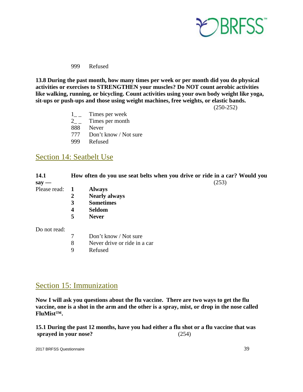

999 Refused

**13.8 During the past month, how many times per week or per month did you do physical activities or exercises to STRENGTHEN your muscles? Do NOT count aerobic activities like walking, running, or bicycling. Count activities using your own body weight like yoga, sit-ups or push-ups and those using weight machines, free weights, or elastic bands.**

(250-252)

- 1<sup>-1</sup> Times per week
- 2<sub>-1</sub> Times per month
- 888 Never
- 777 Don't know / Not sure
- 999 Refused

### <span id="page-38-0"></span>Section 14: Seatbelt Use

| 14.1<br>say — |                                                       | How often do you use seat belts when you drive or ride in a car? Would you<br>(253) |
|---------------|-------------------------------------------------------|-------------------------------------------------------------------------------------|
| Please read:  | 1<br>$\boldsymbol{2}$<br>3<br>$\overline{\mathbf{4}}$ | <b>Always</b><br><b>Nearly always</b><br><b>Sometimes</b><br><b>Seldom</b>          |
|               | 5                                                     | <b>Never</b>                                                                        |
| Do not read:  |                                                       |                                                                                     |
|               | $\tau$                                                | Don't know / Not sure                                                               |
|               | 8                                                     | Never drive or ride in a car                                                        |
|               | 9                                                     | Refused                                                                             |
|               |                                                       |                                                                                     |
|               |                                                       |                                                                                     |
|               |                                                       |                                                                                     |

### <span id="page-38-1"></span>Section 15: Immunization

**Now I will ask you questions about the flu vaccine. There are two ways to get the flu vaccine, one is a shot in the arm and the other is a spray, mist, or drop in the nose called FluMist™.** 

**15.1 During the past 12 months, have you had either a flu shot or a flu vaccine that was sprayed in your nose?** (254)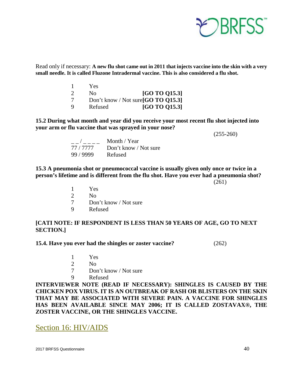

Read only if necessary: **A new flu shot came out in 2011 that injects vaccine into the skin with a very small needle. It is called Fluzone Intradermal vaccine. This is also considered a flu shot.**

|               | Yes.    |                                     |
|---------------|---------|-------------------------------------|
| $\mathcal{D}$ | No.     | [GO TO 015.3]                       |
| 7             |         | Don't know / Not sure [GO TO Q15.3] |
| Q             | Refused | [GO TO 015.3]                       |

**15.2 During what month and year did you receive your most recent flu shot injected into your arm or flu vaccine that was sprayed in your nose?** 

(255-260)

|           | Month / Year          |
|-----------|-----------------------|
| 77 / 7777 | Don't know / Not sure |
| 99 / 9999 | Refused               |

**15.3 A pneumonia shot or pneumococcal vaccine is usually given only once or twice in a person's lifetime and is different from the flu shot. Have you ever had a pneumonia shot?** 

 $(261)$ 

- 1 Yes
- 2 No
- 7 Don't know / Not sure
- 9 Refused

#### **[CATI NOTE: IF RESPONDENT IS LESS THAN 50 YEARS OF AGE, GO TO NEXT SECTION.]**

**15.4. Have you ever had the shingles or zoster vaccine?** (262)

- 1 Yes
- 2 No
- 7 Don't know / Not sure
- 9 Refused

**INTERVIEWER NOTE (READ IF NECESSARY): SHINGLES IS CAUSED BY THE CHICKEN POX VIRUS. IT IS AN OUTBREAK OF RASH OR BLISTERS ON THE SKIN THAT MAY BE ASSOCIATED WITH SEVERE PAIN. A VACCINE FOR SHINGLES HAS BEEN AVAILABLE SINCE MAY 2006; IT IS CALLED ZOSTAVAX®, THE ZOSTER VACCINE, OR THE SHINGLES VACCINE.** 

<span id="page-39-0"></span>Section 16: HIV/AIDS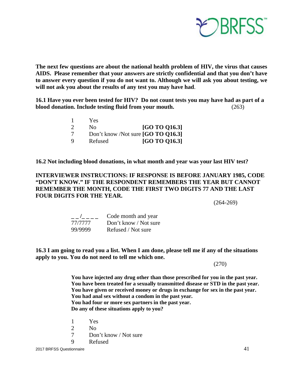

**The next few questions are about the national health problem of HIV, the virus that causes AIDS. Please remember that your answers are strictly confidential and that you don't have to answer every question if you do not want to. Although we will ask you about testing, we will not ask you about the results of any test you may have had**.

**16.1 Have you ever been tested for HIV? Do not count tests you may have had as part of a blood donation. Include testing fluid from your mouth.** (263)

|               | Yes.           |                                    |
|---------------|----------------|------------------------------------|
| $\mathcal{D}$ | N <sub>0</sub> | [GO TO 016.3]                      |
| 7             |                | Don't know /Not sure [GO TO 016.3] |
| Q             | Refused        | [GO TO 016.3]                      |

**16.2 Not including blood donations, in what month and year was your last HIV test?** 

#### **INTERVIEWER INSTRUCTIONS: IF RESPONSE IS BEFORE JANUARY 1985, CODE "DON'T KNOW." IF THE RESPONDENT REMEMBERS THE YEAR BUT CANNOT REMEMBER THE MONTH, CODE THE FIRST TWO DIGITS 77 AND THE LAST FOUR DIGITS FOR THE YEAR.**

 $(264-269)$ 

|         | Code month and year   |
|---------|-----------------------|
| 77/7777 | Don't know / Not sure |
| 99/9999 | Refused / Not sure    |

**16.3 I am going to read you a list. When I am done, please tell me if any of the situations apply to you. You do not need to tell me which one.** 

(270)

**You have injected any drug other than those prescribed for you in the past year. You have been treated for a sexually transmitted disease or STD in the past year. You have given or received money or drugs in exchange for sex in the past year. You had anal sex without a condom in the past year. You had four or more sex partners in the past year. Do any of these situations apply to you?** 

- 1 Yes
- 2  $N<sub>0</sub>$
- 7 Don't know / Not sure
- 9 Refused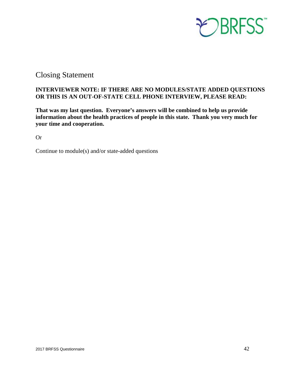

### <span id="page-41-0"></span>Closing Statement

#### **INTERVIEWER NOTE: IF THERE ARE NO MODULES/STATE ADDED QUESTIONS OR THIS IS AN OUT-OF-STATE CELL PHONE INTERVIEW, PLEASE READ:**

**That was my last question. Everyone's answers will be combined to help us provide information about the health practices of people in this state. Thank you very much for your time and cooperation.** 

Or

Continue to module(s) and/or state-added questions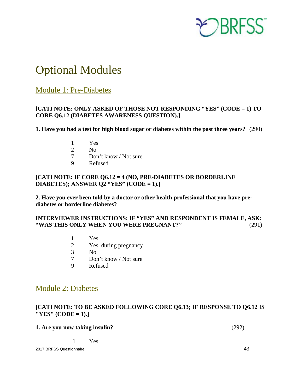

## <span id="page-42-0"></span>Optional Modules

### <span id="page-42-1"></span>Module 1: Pre-Diabetes

#### **[CATI NOTE: ONLY ASKED OF THOSE NOT RESPONDING "YES" (CODE = 1) TO CORE Q6.12 (DIABETES AWARENESS QUESTION).]**

**1. Have you had a test for high blood sugar or diabetes within the past three years?** (290)

- 1 Yes
- 2 No
- 7 Don't know / Not sure
- 9 Refused

#### **[CATI NOTE: IF CORE Q6.12 = 4 (NO, PRE-DIABETES OR BORDERLINE DIABETES); ANSWER Q2 "YES" (CODE = 1).]**

**2. Have you ever been told by a doctor or other health professional that you have prediabetes or borderline diabetes?** 

#### **INTERVIEWER INSTRUCTIONS: IF "YES" AND RESPONDENT IS FEMALE, ASK: "WAS THIS ONLY WHEN YOU WERE PREGNANT?"** (291)

- 1 Yes
- 2 Yes, during pregnancy
- 3 No<br>7 Dor
- Don't know / Not sure
- 9 Refused

### <span id="page-42-2"></span>Module 2: Diabetes

#### **[CATI NOTE: TO BE ASKED FOLLOWING CORE Q6.13; IF RESPONSE TO Q6.12 IS "YES" (CODE = 1).]**

| 1. Are you now taking insulin? | (292) |
|--------------------------------|-------|
|--------------------------------|-------|

1 Yes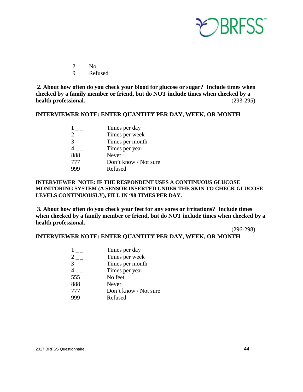

2 No

9 Refused

**2. About how often do you check your blood for glucose or sugar? Include times when checked by a family member or friend, but do NOT include times when checked by a health professional.** (293-295)

#### **INTERVIEWER NOTE: ENTER QUANTITY PER DAY, WEEK, OR MONTH**

|     | Times per day         |
|-----|-----------------------|
|     | Times per week        |
|     | Times per month       |
|     | Times per year        |
| 888 | <b>Never</b>          |
| 777 | Don't know / Not sure |
|     | Refused               |

#### **INTERVIEWER NOTE: IF THE RESPONDENT USES A CONTINUOUS GLUCOSE MONITORING SYSTEM (A SENSOR INSERTED UNDER THE SKIN TO CHECK GLUCOSE LEVELS CONTINUOUSLY), FILL IN '98 TIMES PER DAY.**'

**3. About how often do you check your feet for any sores or irritations? Include times when checked by a family member or friend, but do NOT include times when checked by a health professional.**

(296-298)

#### **INTERVIEWER NOTE: ENTER QUANTITY PER DAY, WEEK, OR MONTH**

| Times per day         |
|-----------------------|
| Times per week        |
| Times per month       |
| Times per year        |
| No feet               |
| Never                 |
| Don't know / Not sure |
| Refused               |
|                       |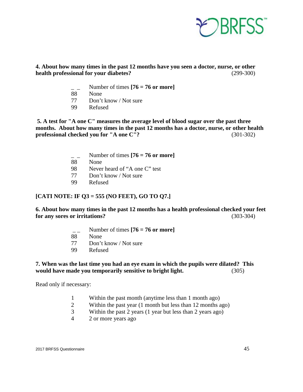

**4. About how many times in the past 12 months have you seen a doctor, nurse, or other health professional for your diabetes?** (299-300)

- Number of times  $[76 = 76$  or more]
- 88 None
- 77 Don't know / Not sure
- 99 Refused

 **5. A test for "A one C" measures the average level of blood sugar over the past three months. About how many times in the past 12 months has a doctor, nurse, or other health professional checked you for "A one C"?** (301-302)

- Number of times  $[76 = 76$  or more]
- 88 None
- 98 Never heard of "A one C" test
- 77 Don't know / Not sure
- 99 Refused

#### **[CATI NOTE: IF Q3 = 555 (NO FEET), GO TO Q7.]**

#### **6. About how many times in the past 12 months has a health professional checked your feet for any sores or irritations?** (303-304)

- $\frac{1}{2}$  Number of times  $[76 = 76 \text{ or more}]$
- 88 None
- 77 Don't know / Not sure
- 99 Refused

#### **7. When was the last time you had an eye exam in which the pupils were dilated? This would have made you temporarily sensitive to bright light.** (305)

Read only if necessary:

- 1 Within the past month (anytime less than 1 month ago)
- 2 Within the past year (1 month but less than 12 months ago)
- 3 Within the past 2 years (1 year but less than 2 years ago)
- 4 2 or more years ago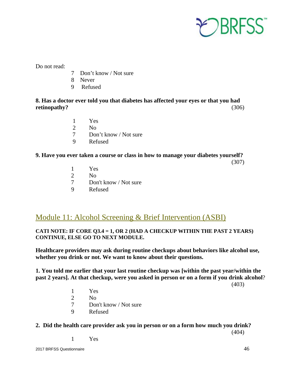

- 7 Don't know / Not sure
- 8 Never
- 9 Refused

#### **8. Has a doctor ever told you that diabetes has affected your eyes or that you had retinopathy?** (306)

- 1 Yes
- 2  $N<sub>0</sub>$
- 7 Don't know / Not sure
- 9 Refused

#### **9. Have you ever taken a course or class in how to manage your diabetes yourself?**

- (307)
- 1 Yes
- 2 No
- 7 Don't know / Not sure<br>9 Refused
- **Refused**

### <span id="page-45-0"></span>Module 11: Alcohol Screening & Brief Intervention (ASBI)

#### **CATI NOTE: IF CORE Q3.4 = 1, OR 2 (HAD A CHECKUP WITHIN THE PAST 2 YEARS) CONTINUE, ELSE GO TO NEXT MODULE.**

**Healthcare providers may ask during routine checkups about behaviors like alcohol use, whether you drink or not. We want to know about their questions.**

**1. You told me earlier that your last routine checkup was [within the past year/within the past 2 years]. At that checkup, were you asked in person or on a form if you drink alcohol**?

(403)

- $\frac{1}{2}$  Yes
- 2 No
	- 7 Don't know / Not sure
	- 9 Refused

#### **2. Did the health care provider ask you in person or on a form how much you drink?**

(404)

1 Yes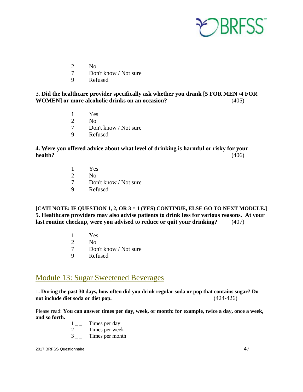

- 2. No
- 7 Don't know / Not sure
- 9 Refused

#### 3. **Did the healthcare provider specifically ask whether you drank [5 FOR MEN /4 FOR WOMEN] or more alcoholic drinks on an occasion?** (405)

- 1 Yes
- 2 No
	- 7 Don't know / Not sure
	- 9 Refused

#### **4. Were you offered advice about what level of drinking is harmful or risky for your health?** (406)

- 1 Yes
- 2 No
	- 7 Don't know / Not sure
	- 9 Refused

**[CATI NOTE: IF QUESTION 1, 2, OR 3 = 1 (YES) CONTINUE, ELSE GO TO NEXT MODULE.] 5. Healthcare providers may also advise patients to drink less for various reasons. At your last routine checkup, were you advised to reduce or quit your drinking?** (407)

- 1 Yes
- $\frac{2}{7}$  No<br>7 Dot
- Don't know / Not sure
- 9 Refused

### <span id="page-46-0"></span>Module 13: Sugar Sweetened Beverages

1**. During the past 30 days, how often did you drink regular soda or pop that contains sugar? Do not include diet soda or diet pop.** (424-426)

Please read: **You can answer times per day, week, or month: for example, twice a day, once a week, and so forth.** 

> $1 \quad \text{times per day}$  $2 \quad - \quad$  Times per week  $3 \quad - \quad$  Times per month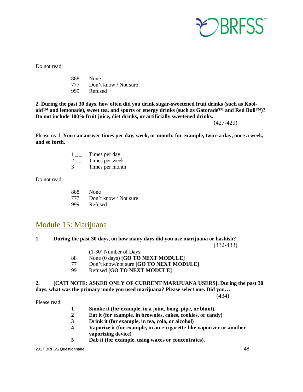

888 None 777 Don't know / Not sure 999 Refused

**2. During the past 30 days, how often did you drink sugar-sweetened fruit drinks (such as Koolaid™ and lemonade), sweet tea, and sports or energy drinks (such as Gatorade™ and Red Bull™)? Do not include 100% fruit juice, diet drinks, or artificially sweetened drinks.** 

(427-429)

Please read: **You can answer times per day, week, or month: for example, twice a day, once a week, and so forth.**

- $1\qquad$  Times per day
- $2 -$  Times per week<br>3 Times per month
- Times per month

Do not read:

888 None 777 Don't know / Not sure 999 Refused

### <span id="page-47-0"></span>Module 15: Marijuana

#### **1. During the past 30 days, on how many days did you use marijuana or hashish?**

(432-433)

- $(1-30)$  Number of Days
- 88 None (0 days) **[GO TO NEXT MODULE]**
- 77 Don't know/not sure **[GO TO NEXT MODULE]**
- 99 Refused **[GO TO NEXT MODULE]**

#### **2. [CATI NOTE: ASKED ONLY OF CURRENT MARIJUANA USERS]. During the past 30 days, what was the primary mode you used marijuana? Please select one. Did you…**

(434) Please read:

- **1** Smoke it (for example, in a joint, bong, pipe, or blunt).<br> **2** Eat it (for example, in brownies, cakes, cookies, or cand
- Eat it (for example, in brownies, cakes, cookies, or candy)
- **3 Drink it (for example, in tea, cola, or alcohol)**
- **4 Vaporize it (for example, in an e-cigarette-like vaporizer or another vaporizing device)**
- **5 Dab it (for example, using waxes or concentrates).**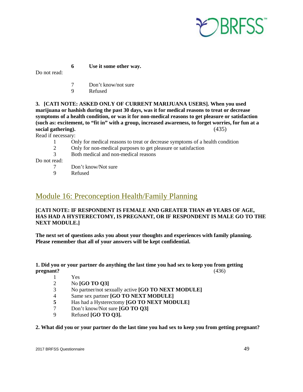

 **6 Use it some other way.**

Do not read:

- 7 Don't know/not sure
- 9 Refused

**3. [CATI NOTE: ASKED ONLY OF CURRENT MARIJUANA USERS]. When you used marijuana or hashish during the past 30 days, was it for medical reasons to treat or decrease symptoms of a health condition, or was it for non-medical reasons to get pleasure or satisfaction (such as: excitement, to "fit in" with a group, increased awareness, to forget worries, for fun at a social gathering).** (435)

Read if necessary:

- 1 Only for medical reasons to treat or decrease symptoms of a health condition
- 2 Only for non-medical purposes to get pleasure or satisfaction
- 3 Both medical and non-medical reasons

Do not read:

- 7 Don't know/Not sure
- 9 Refused

### <span id="page-48-0"></span>Module 16: Preconception Health/Family Planning

#### **[CATI NOTE: IF RESPONDENT IS FEMALE AND GREATER THAN 49 YEARS OF AGE, HAS HAD A HYSTERECTOMY, IS PREGNANT, OR IF RESPONDENT IS MALE GO TO THE NEXT MODULE.]**

**The next set of questions asks you about your thoughts and experiences with family planning. Please remember that all of your answers will be kept confidential.**

#### **1. Did you or your partner do anything the last time you had sex to keep you from getting pregnant?** (436)

- 1 Yes<br>2 No I
	- 2 No **[GO TO Q3]**
- 3 No partner/not sexually active **[GO TO NEXT MODULE]**
- 4 Same sex partner **[GO TO NEXT MODULE]**
- 5 **Has had a Hysterectomy <b>[GO TO NEXT MODULE]**<br>
7 Don't know/Not sure **[GO TO 03]**
- 7 Don't know/Not sure **[GO TO Q3]**
- 9 Refused **[GO TO Q3].**

#### **2. What did you or your partner do the last time you had sex to keep you from getting pregnant?**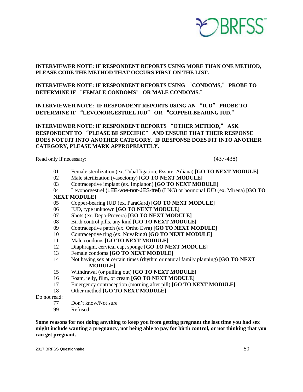

#### **INTERVIEWER NOTE: IF RESPONDENT REPORTS USING MORE THAN ONE METHOD, PLEASE CODE THE METHOD THAT OCCURS FIRST ON THE LIST.**

**INTERVIEWER NOTE: IF RESPONDENT REPORTS USING** "**CONDOMS,**" **PROBE TO DETERMINE IF** "**FEMALE CONDOMS**" **OR MALE CONDOMS.**"

**INTERVIEWER NOTE: IF RESPONDENT REPORTS USING AN** "**IUD**" **PROBE TO DETERMINE IF** "**LEVONORGESTREL IUD**" **OR** "**COPPER-BEARING IUD.**"

#### **INTERVIEWER NOTE: IF RESPONDENT REPORTS** "**OTHER METHOD,**" **ASK RESPONDENT TO** "**PLEASE BE SPECIFIC**" **AND ENSURE THAT THEIR RESPONSE DOES NOT FIT INTO ANOTHER CATEGORY. IF RESPONSE DOES FIT INTO ANOTHER CATEGORY, PLEASE MARK APPROPRIATELY.**

Read only if necessary: (437-438)

- 01 Female sterilization (ex. Tubal ligation, Essure, Adiana) **[GO TO NEXT MODULE]**
- 02 Male sterilization (vasectomy) **[GO TO NEXT MODULE]**
- 03 Contraceptive implant (ex. Implanon) **[GO TO NEXT MODULE]**
- 04 Levonorgestrel (LEE-voe-nor-JES-trel) (LNG) or hormonal IUD (ex. Mirena) **[GO TO NEXT MODULE]**
- 05 Copper-bearing IUD (ex. ParaGard) **[GO TO NEXT MODULE]**
- 06 IUD, type unknown **[GO TO NEXT MODULE]**
- 07 Shots (ex. Depo-Provera) **[GO TO NEXT MODULE]**
- 08 Birth control pills, any kind **[GO TO NEXT MODULE]**
- 09 Contraceptive patch (ex. Ortho Evra) **[GO TO NEXT MODULE]**
- 10 Contraceptive ring (ex. NuvaRing) **[GO TO NEXT MODULE]**
- 11 Male condoms **[GO TO NEXT MODULE]**
- 12 Diaphragm, cervical cap, sponge **[GO TO NEXT MODULE]**
- 13 Female condoms **[GO TO NEXT MODULE]**<br>14 Not having sex at certain times (rhythm or nature
	- Not having sex at certain times (rhythm or natural family planning) **[GO TO NEXT MODULE]**
- 15 Withdrawal (or pulling out) **[GO TO NEXT MODULE]**
- 16 Foam, jelly, film, or cream **[GO TO NEXT MODULE]**
- 17 Emergency contraception (morning after pill) **[GO TO NEXT MODULE]**
- 18 Other method **[GO TO NEXT MODULE]**

Do not read:

- 77 Don't know/Not sure
- 99 Refused

**Some reasons for not doing anything to keep you from getting pregnant the last time you had sex might include wanting a pregnancy, not being able to pay for birth control, or not thinking that you can get pregnant.**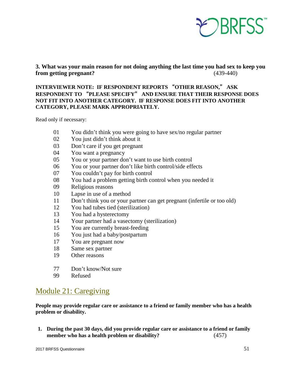

#### **3. What was your main reason for not doing anything the last time you had sex to keep you from getting pregnant?** (439-440)

#### **INTERVIEWER NOTE: IF RESPONDENT REPORTS** "**OTHER REASON,**" **ASK RESPONDENT TO** "**PLEASE SPECIFY**" **AND ENSURE THAT THEIR RESPONSE DOES NOT FIT INTO ANOTHER CATEGORY. IF RESPONSE DOES FIT INTO ANOTHER CATEGORY, PLEASE MARK APPROPRIATELY.**

Read only if necessary:

- 01 You didn't think you were going to have sex/no regular partner
- 02 You just didn't think about it
- 03 Don't care if you get pregnant
- 04 You want a pregnancy
- 05 You or your partner don't want to use birth control
- 06 You or your partner don't like birth control/side effects
- 07 You couldn't pay for birth control
- 08 You had a problem getting birth control when you needed it
- 09 Religious reasons
- 10 Lapse in use of a method
- 11 Don't think you or your partner can get pregnant (infertile or too old)
- 12 You had tubes tied (sterilization)
- 13 You had a hysterectomy
- 14 Your partner had a vasectomy (sterilization)
- 15 You are currently breast-feeding
- 16 You just had a baby/postpartum
- 17 You are pregnant now
- 18 Same sex partner
- 19 Other reasons
- 77 Don't know/Not sure
- 99 Refused

### <span id="page-50-0"></span>Module 21: Caregiving

**People may provide regular care or assistance to a friend or family member who has a health problem or disability.**

**1. During the past 30 days, did you provide regular care or assistance to a friend or family member who has a health problem or disability?** (457)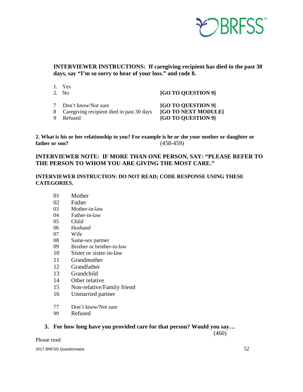

**INTERVIEWER INSTRUCTIONS: If caregiving recipient has died in the past 30 days, say "I'm so sorry to hear of your loss." and code 8.** 

- 1. Yes
- 

2. No **[GO TO QUESTION 9]**

- 8 Caregiving recipient died in past 30 days<br>9 Refused
- 

7 Don't know/Not sure **[GO TO QUESTION 9]**<br>8 Caregiving recipient died in past 30 days **[GO TO NEXT MODULE]** [GO TO QUESTION 9]

#### **2. What is his or her relationship to you? For example is he or she your mother or daughter or father or son?** (458-459)

#### **INTERVIEWER NOTE: IF MORE THAN ONE PERSON, SAY: "PLEASE REFER TO THE PERSON TO WHOM YOU ARE GIVING THE MOST CARE."**

#### **INTERVIEWER INSTRUCTION: DO NOT READ; CODE RESPONSE USING THESE CATEGORIES.**

- 01 Mother
- 02 Father
- 03 Mother-in-law
- 04 Father-in-law
- 05 Child
- 06 Husband
- 07 Wife
- 08 Same-sex partner
- 09 Brother or brother-in-law
- 10 Sister or sister-in-law
- 11 Grandmother
- 12 Grandfather
- 13 Grandchild
- 14 Other relative
- 15 Non-relative/Family friend
- 16 Unmarried partner
- 77 Don't know/Not sure
- 99 Refused

#### **3. For how long have you provided care for that person? Would you say…**

(460)

Please read: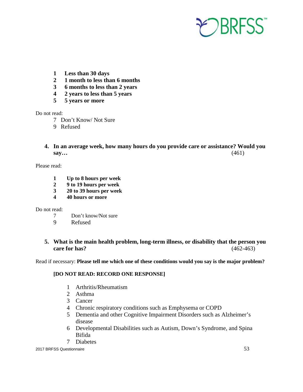

- **1 Less than 30 days**
- **2 1 month to less than 6 months**
- **3 6 months to less than 2 years**
- **4 2 years to less than 5 years**
- **5 5 years or more**

- 7 Don't Know/ Not Sure
- 9 Refused
- **4. In an average week, how many hours do you provide care or assistance? Would you say…** (461)

Please read:

- **1 Up to 8 hours per week**
- **2 9 to 19 hours per week**
- **3 20 to 39 hours per week**
- **4 40 hours or more**

Do not read:

- 7 Don't know/Not sure
- 9 Refused

#### **5. What is the main health problem, long-term illness, or disability that the person you care for has?** (462-463)

Read if necessary: **Please tell me which one of these conditions would you say is the major problem?**

#### **[DO NOT READ: RECORD ONE RESPONSE]**

- 1 Arthritis/Rheumatism
- 2 Asthma
- 3 Cancer
- 4 Chronic respiratory conditions such as Emphysema or COPD
- 5 Dementia and other Cognitive Impairment Disorders such as Alzheimer's disease
- 6 Developmental Disabilities such as Autism, Down's Syndrome, and Spina Bifida
- 7 Diabetes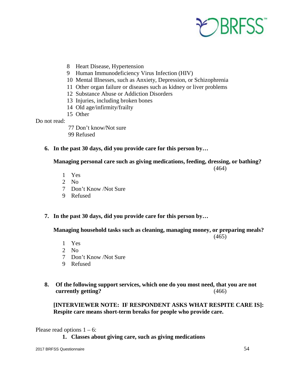

- 8 Heart Disease, Hypertension
- 9 Human Immunodeficiency Virus Infection (HIV)
- 10 Mental Illnesses, such as Anxiety, Depression, or Schizophrenia
- 11 Other organ failure or diseases such as kidney or liver problems
- 12 Substance Abuse or Addiction Disorders
- 13 Injuries, including broken bones
- 14 Old age/infirmity/frailty
- 15 Other

- 77 Don't know/Not sure 99 Refused
- **6. In the past 30 days, did you provide care for this person by…**

**Managing personal care such as giving medications, feeding, dressing, or bathing?**

(464)

- 1 Yes
- 2 No
- 7 Don't Know /Not Sure
- 9 Refused
- **7. In the past 30 days, did you provide care for this person by…**

 **Managing household tasks such as cleaning, managing money, or preparing meals?**

(465)

- 1 Yes
- 2 No
- 7 Don't Know /Not Sure
- 9 Refused
- **8. Of the following support services, which one do you most need, that you are not currently getting?** (466)

#### **[INTERVIEWER NOTE: IF RESPONDENT ASKS WHAT RESPITE CARE IS]: Respite care means short-term breaks for people who provide care.**

Please read options  $1 - 6$ :

**1. Classes about giving care, such as giving medications**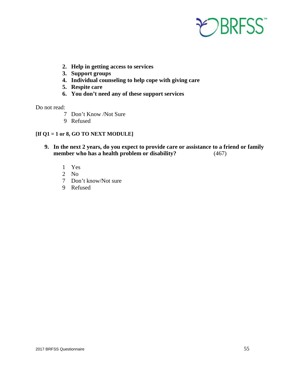

- **2. Help in getting access to services**
- **3. Support groups**
- **4. Individual counseling to help cope with giving care**
- **5. Respite care**
- **6. You don't need any of these support services**

- 7 Don't Know /Not Sure
- 9 Refused

#### **[If Q1 = 1 or 8, GO TO NEXT MODULE]**

- **9. In the next 2 years, do you expect to provide care or assistance to a friend or family member who has a health problem or disability?** (467)
	- 1 Yes
	- 2 No
	- 7 Don't know/Not sure
	- 9 Refused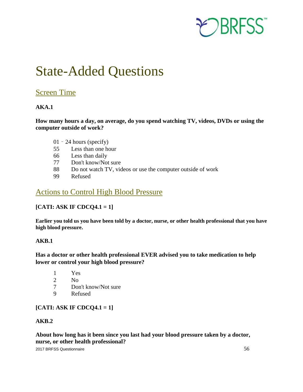

# <span id="page-55-0"></span>State-Added Questions

### <span id="page-55-1"></span>Screen Time

#### **AKA.1**

**How many hours a day, on average, do you spend watching TV, videos, DVDs or using the computer outside of work?**

- 01 24 hours (specify)
- 55 Less than one hour
- 66 Less than daily
- 77 Don't know/Not sure
- 88 Do not watch TV, videos or use the computer outside of work
- 99 Refused

### <span id="page-55-2"></span>Actions to Control High Blood Pressure

#### **[CATI: ASK IF CDCQ4.1 = 1]**

**Earlier you told us you have been told by a doctor, nurse, or other health professional that you have high blood pressure.**

#### **AKB.1**

#### **Has a doctor or other health professional EVER advised you to take medication to help lower or control your high blood pressure?**

- 1 Yes
- 2 No
- 7 Don't know/Not sure
- 9 Refused

### **[CATI: ASK IF CDCQ4.1 = 1]**

#### **AKB.2**

**About how long has it been since you last had your blood pressure taken by a doctor, nurse, or other health professional?**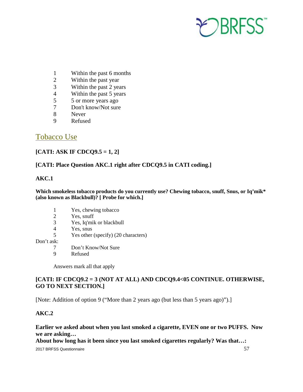

- 1 Within the past 6 months
- 2 Within the past year
- 3 Within the past 2 years
- 4 Within the past 5 years
- 5 5 or more years ago
- 7 Don't know/Not sure
- 8 Never
- 9 Refused

### <span id="page-56-0"></span>Tobacco Use

#### **[CATI: ASK IF CDCQ9.5 = 1, 2]**

#### **[CATI: Place Question AKC.1 right after CDCQ9.5 in CATI coding.]**

#### **AKC.1**

#### **Which smokeless tobacco products do you currently use? Chewing tobacco, snuff, Snus, or Iq'mik\* (also known as Blackbull)? [ Probe for which.]**

- 1 Yes, chewing tobacco
- 2 Yes, snuff
- 3 Yes, Iq'mik or blackbull
- 4 Yes, snus
- 5 Yes other (specify) (20 characters)
- Don't ask:
	- 7 Don't Know/Not Sure
	- 9 Refused

Answers mark all that apply

#### **[CATI: IF CDCQ9.2 = 3 (NOT AT ALL) AND CDCQ9.4<05 CONTINUE. OTHERWISE, GO TO NEXT SECTION.]**

[Note: Addition of option 9 ("More than 2 years ago (but less than 5 years ago)").]

#### **AKC.2**

#### **Earlier we asked about when you last smoked a cigarette, EVEN one or two PUFFS. Now we are asking…**

**About how long has it been since you last smoked cigarettes regularly? Was that…:**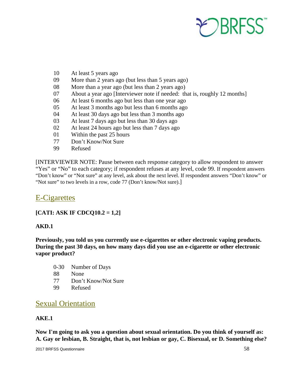

- 10 At least 5 years ago
- 09 More than 2 years ago (but less than 5 years ago)
- 08 More than a year ago (but less than 2 years ago)
- 07 About a year ago [Interviewer note if needed: that is, roughly 12 months]
- 06 At least 6 months ago but less than one year ago
- 05 At least 3 months ago but less than 6 months ago
- 04 At least 30 days ago but less than 3 months ago
- 03 At least 7 days ago but less than 30 days ago
- 02 At least 24 hours ago but less than 7 days ago
- 01 Within the past 25 hours
- 77 Don't Know/Not Sure
- 99 Refused

[INTERVIEWER NOTE: Pause between each response category to allow respondent to answer "Yes" or "No" to each category; if respondent refuses at any level, code 99. If respondent answers "Don't know" or "Not sure" at any level, ask about the next level. If respondent answers "Don't know" or "Not sure" to two levels in a row, code 77 (Don't know/Not sure).]

### <span id="page-57-0"></span>E-Cigarettes

#### **[CATI: ASK IF CDCQ10.2 = 1,2]**

#### **AKD.1**

**Previously, you told us you currently use e-cigarettes or other electronic vaping products. During the past 30 days, on how many days did you use an e-cigarette or other electronic vapor product?** 

- 0-30 Number of Days
- 88 None
- 77 Don't Know/Not Sure
- 99 Refused

### <span id="page-57-1"></span>Sexual Orientation

#### **AKE.1**

**Now I'm going to ask you a question about sexual orientation. Do you think of yourself as: A. Gay or lesbian, B. Straight, that is, not lesbian or gay, C. Bisexual, or D. Something else?**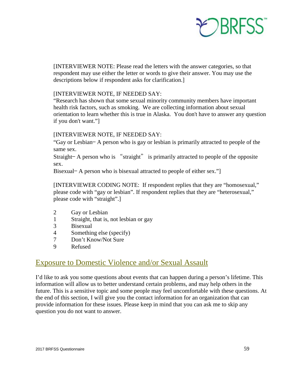

[INTERVIEWER NOTE: Please read the letters with the answer categories, so that respondent may use either the letter or words to give their answer. You may use the descriptions below if respondent asks for clarification.]

#### [INTERVIEWER NOTE, IF NEEDED SAY:

"Research has shown that some sexual minority community members have important health risk factors, such as smoking. We are collecting information about sexual orientation to learn whether this is true in Alaska. You don't have to answer any question if you don't want."]

#### [INTERVIEWER NOTE, IF NEEDED SAY:

"Gay or Lesbian— A person who is gay or lesbian is primarily attracted to people of the same sex.

Straight— A person who is "straight" is primarily attracted to people of the opposite sex.

Bisexual— A person who is bisexual attracted to people of either sex."]

[INTERVIEWER CODING NOTE: If respondent replies that they are "homosexual," please code with "gay or lesbian". If respondent replies that they are "heterosexual," please code with "straight".]

- 2 Gay or Lesbian
- 1 Straight, that is, not lesbian or gay
- 3 Bisexual
- 4 Something else (specify)
- 7 Don't Know/Not Sure
- 9 Refused

### <span id="page-58-0"></span>Exposure to Domestic Violence and/or Sexual Assault

I'd like to ask you some questions about events that can happen during a person's lifetime. This information will allow us to better understand certain problems, and may help others in the future. This is a sensitive topic and some people may feel uncomfortable with these questions. At the end of this section, I will give you the contact information for an organization that can provide information for these issues. Please keep in mind that you can ask me to skip any question you do not want to answer.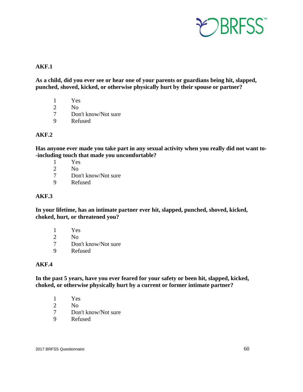

#### **AKF.1**

**As a child, did you ever see or hear one of your parents or guardians being hit, slapped, punched, shoved, kicked, or otherwise physically hurt by their spouse or partner?**

- 1 Yes
- 2 No
- 7 Don't know/Not sure
- 9 Refused

#### **AKF.2**

**Has anyone ever made you take part in any sexual activity when you really did not want to- -including touch that made you uncomfortable?**

- 1 Yes
- 2 No
- 7 Don't know/Not sure
- 9 Refused

#### **AKF.3**

**In your lifetime, has an intimate partner ever hit, slapped, punched, shoved, kicked, choked, hurt, or threatened you?**

- 1 Yes
- 2 No
- 7 Don't know/Not sure<br>9 Refused
- **Refused**

#### **AKF.4**

**In the past 5 years, have you ever feared for your safety or been hit, slapped, kicked, choked, or otherwise physically hurt by a current or former intimate partner?**

- 1 Yes<br>2 No
- N<sub>o</sub>
- 7 Don't know/Not sure
- 9 Refused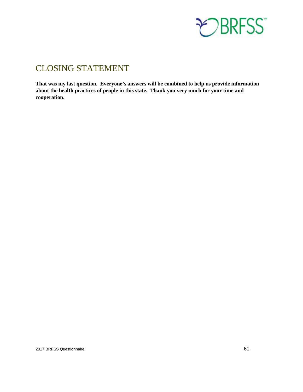

### <span id="page-60-0"></span>CLOSING STATEMENT

**That was my last question. Everyone's answers will be combined to help us provide information about the health practices of people in this state. Thank you very much for your time and cooperation.**